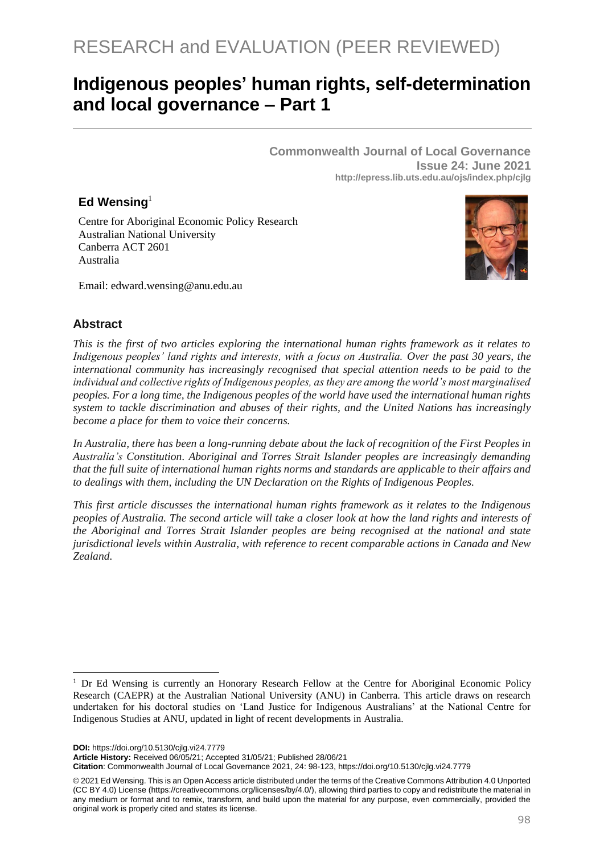# **Indigenous peoples' human rights, self-determination and local governance – Part 1**

**Commonwealth Journal of Local Governance Issue 24: June 2021 http://epress.lib.uts.edu.au/ojs/index.php/cjlg**

# **Ed Wensing**<sup>1</sup>

Centre for Aboriginal Economic Policy Research Australian National University Canberra ACT 2601 Australia



Email: edward.wensing@anu.edu.au

#### **Abstract**

*This is the first of two articles exploring the international human rights framework as it relates to Indigenous peoples' land rights and interests, with a focus on Australia. Over the past 30 years, the international community has increasingly recognised that special attention needs to be paid to the individual and collective rights of Indigenous peoples, as they are among the world's most marginalised peoples. For a long time, the Indigenous peoples of the world have used the international human rights system to tackle discrimination and abuses of their rights, and the United Nations has increasingly become a place for them to voice their concerns.* 

*In Australia, there has been a long-running debate about the lack of recognition of the First Peoples in Australia's Constitution. Aboriginal and Torres Strait Islander peoples are increasingly demanding that the full suite of international human rights norms and standards are applicable to their affairs and to dealings with them, including the UN Declaration on the Rights of Indigenous Peoples.* 

*This first article discusses the international human rights framework as it relates to the Indigenous peoples of Australia. The second article will take a closer look at how the land rights and interests of the Aboriginal and Torres Strait Islander peoples are being recognised at the national and state jurisdictional levels within Australia, with reference to recent comparable actions in Canada and New Zealand.*

**DOI:** https://doi.org/10.5130/cjlg.vi24.7779

**Article History:** Received 06/05/21; Accepted 31/05/21; Published 28/06/21

**Citation**: Commonwealth Journal of Local Governance 2021, 24: 98-123, https://doi.org/10.5130/cjlg.vi24.7779

<sup>&</sup>lt;sup>1</sup> Dr Ed Wensing is currently an Honorary Research Fellow at the Centre for Aboriginal Economic Policy Research (CAEPR) at the Australian National University (ANU) in Canberra. This article draws on research undertaken for his doctoral studies on 'Land Justice for Indigenous Australians' at the National Centre for Indigenous Studies at ANU, updated in light of recent developments in Australia.

<sup>© 2021</sup> Ed Wensing. This is an Open Access article distributed under the terms of the Creative Commons Attribution 4.0 Unported (CC BY 4.0) License [\(https://creativecommons.org/licenses/by/4.0/\)](https://creativecommons.org/licenses/by/4.0/), allowing third parties to copy and redistribute the material in any medium or format and to remix, transform, and build upon the material for any purpose, even commercially, provided the original work is properly cited and states its license.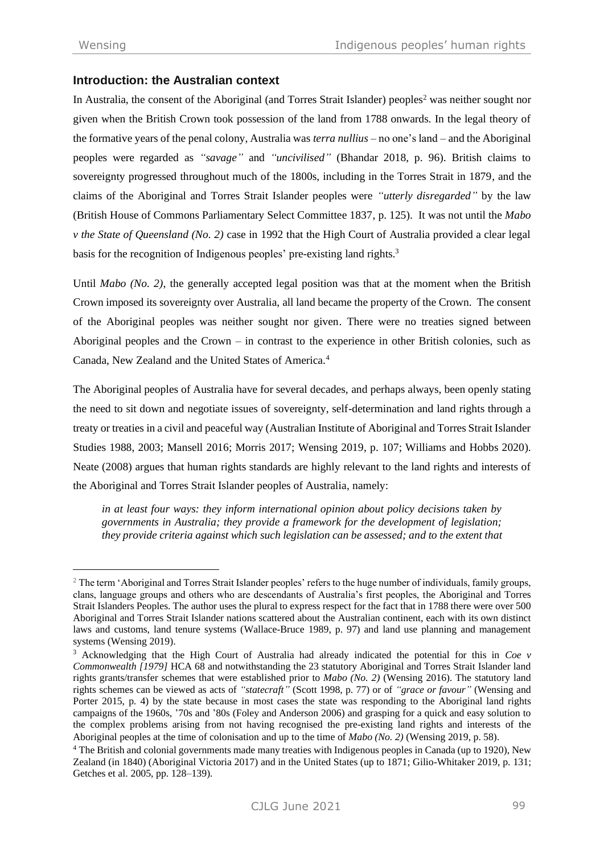# **Introduction: the Australian context**

In Australia, the consent of the Aboriginal (and Torres Strait Islander) peoples<sup>2</sup> was neither sought nor given when the British Crown took possession of the land from 1788 onwards. In the legal theory of the formative years of the penal colony, Australia was *terra nullius* – no one's land – and the Aboriginal peoples were regarded as *"savage"* and *"uncivilised"* (Bhandar 2018, p. 96). British claims to sovereignty progressed throughout much of the 1800s, including in the Torres Strait in 1879, and the claims of the Aboriginal and Torres Strait Islander peoples were *"utterly disregarded"* by the law (British House of Commons Parliamentary Select Committee 1837, p. 125). It was not until the *Mabo v the State of Queensland (No. 2)* case in 1992 that the High Court of Australia provided a clear legal basis for the recognition of Indigenous peoples' pre-existing land rights.<sup>3</sup>

Until *Mabo (No. 2)*, the generally accepted legal position was that at the moment when the British Crown imposed its sovereignty over Australia, all land became the property of the Crown. The consent of the Aboriginal peoples was neither sought nor given. There were no treaties signed between Aboriginal peoples and the Crown – in contrast to the experience in other British colonies, such as Canada, New Zealand and the United States of America. 4

The Aboriginal peoples of Australia have for several decades, and perhaps always, been openly stating the need to sit down and negotiate issues of sovereignty, self-determination and land rights through a treaty or treaties in a civil and peaceful way (Australian Institute of Aboriginal and Torres Strait Islander Studies 1988, 2003; Mansell 2016; Morris 2017; Wensing 2019, p. 107; Williams and Hobbs 2020). Neate (2008) argues that human rights standards are highly relevant to the land rights and interests of the Aboriginal and Torres Strait Islander peoples of Australia, namely:

*in at least four ways: they inform international opinion about policy decisions taken by governments in Australia; they provide a framework for the development of legislation; they provide criteria against which such legislation can be assessed; and to the extent that* 

<sup>&</sup>lt;sup>2</sup> The term 'Aboriginal and Torres Strait Islander peoples' refers to the huge number of individuals, family groups, clans, language groups and others who are descendants of Australia's first peoples, the Aboriginal and Torres Strait Islanders Peoples. The author uses the plural to express respect for the fact that in 1788 there were over 500 Aboriginal and Torres Strait Islander nations scattered about the Australian continent, each with its own distinct laws and customs, land tenure systems (Wallace-Bruce 1989, p. 97) and land use planning and management systems (Wensing 2019).

<sup>3</sup> Acknowledging that the High Court of Australia had already indicated the potential for this in *Coe v Commonwealth [1979]* HCA 68 and notwithstanding the 23 statutory Aboriginal and Torres Strait Islander land rights grants/transfer schemes that were established prior to *Mabo (No. 2)* (Wensing 2016). The statutory land rights schemes can be viewed as acts of *"statecraft"* (Scott 1998, p. 77) or of *"grace or favour"* (Wensing and Porter 2015, p. 4) by the state because in most cases the state was responding to the Aboriginal land rights campaigns of the 1960s, '70s and '80s (Foley and Anderson 2006) and grasping for a quick and easy solution to the complex problems arising from not having recognised the pre-existing land rights and interests of the Aboriginal peoples at the time of colonisation and up to the time of *Mabo (No. 2)* (Wensing 2019, p. 58).

<sup>4</sup> The British and colonial governments made many treaties with Indigenous peoples in Canada (up to 1920), New Zealand (in 1840) (Aboriginal Victoria 2017) and in the United States (up to 1871; Gilio-Whitaker 2019, p. 131; Getches et al. 2005, pp. 128–139).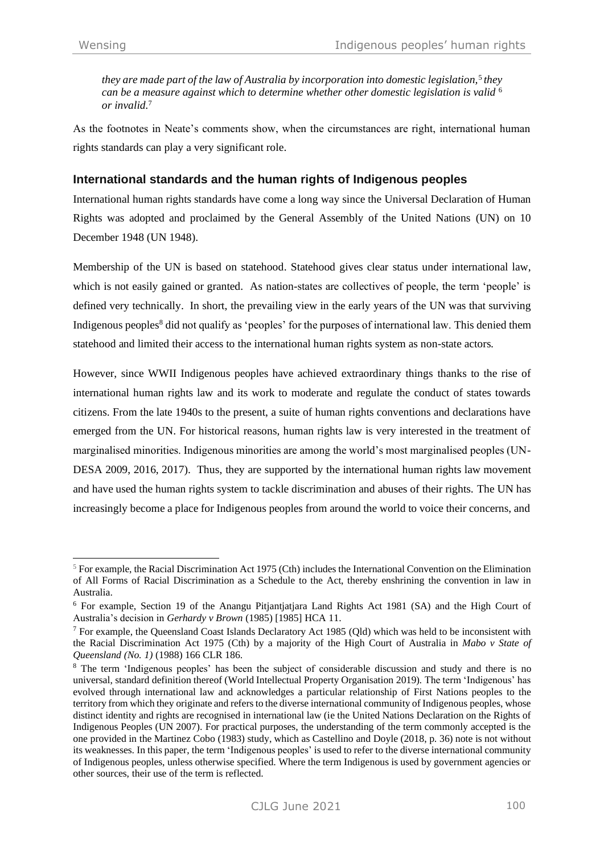*they are made part of the law of Australia by incorporation into domestic legislation,*<sup>5</sup> *they can be a measure against which to determine whether other domestic legislation is valid* <sup>6</sup> *or invalid.* 7 

As the footnotes in Neate's comments show, when the circumstances are right, international human rights standards can play a very significant role.

# **International standards and the human rights of Indigenous peoples**

International human rights standards have come a long way since the Universal Declaration of Human Rights was adopted and proclaimed by the General Assembly of the United Nations (UN) on 10 December 1948 (UN 1948).

Membership of the UN is based on statehood. Statehood gives clear status under international law, which is not easily gained or granted. As nation-states are collectives of people, the term 'people' is defined very technically. In short, the prevailing view in the early years of the UN was that surviving Indigenous peoples<sup>8</sup> did not qualify as 'peoples' for the purposes of international law. This denied them statehood and limited their access to the international human rights system as non-state actors*.*

However, since WWII Indigenous peoples have achieved extraordinary things thanks to the rise of international human rights law and its work to moderate and regulate the conduct of states towards citizens. From the late 1940s to the present, a suite of human rights conventions and declarations have emerged from the UN. For historical reasons, human rights law is very interested in the treatment of marginalised minorities. Indigenous minorities are among the world's most marginalised peoples (UN-DESA 2009, 2016, 2017). Thus, they are supported by the international human rights law movement and have used the human rights system to tackle discrimination and abuses of their rights. The UN has increasingly become a place for Indigenous peoples from around the world to voice their concerns, and

 $<sup>5</sup>$  For example, the Racial Discrimination Act 1975 (Cth) includes the International Convention on the Elimination</sup> of All Forms of Racial Discrimination as a Schedule to the Act, thereby enshrining the convention in law in Australia.

<sup>6</sup> For example, Section 19 of the Anangu Pitjantjatjara Land Rights Act 1981 (SA) and the High Court of Australia's decision in *Gerhardy v Brown* (1985) [1985] HCA 11.

<sup>&</sup>lt;sup>7</sup> For example, the Queensland Coast Islands Declaratory Act 1985 (Qld) which was held to be inconsistent with the Racial Discrimination Act 1975 (Cth) by a majority of the High Court of Australia in *Mabo v State of Queensland (No. 1)* (1988) 166 CLR 186.

<sup>&</sup>lt;sup>8</sup> The term 'Indigenous peoples' has been the subject of considerable discussion and study and there is no universal, standard definition thereof (World Intellectual Property Organisation 2019)*.* The term 'Indigenous' has evolved through international law and acknowledges a particular relationship of First Nations peoples to the territory from which they originate and refers to the diverse international community of Indigenous peoples, whose distinct identity and rights are recognised in international law (ie the United Nations Declaration on the Rights of Indigenous Peoples (UN 2007). For practical purposes, the understanding of the term commonly accepted is the one provided in the Martinez Cobo (1983) study, which as Castellino and Doyle (2018, p. 36) note is not without its weaknesses. In this paper, the term 'Indigenous peoples' is used to refer to the diverse international community of Indigenous peoples, unless otherwise specified. Where the term Indigenous is used by government agencies or other sources, their use of the term is reflected.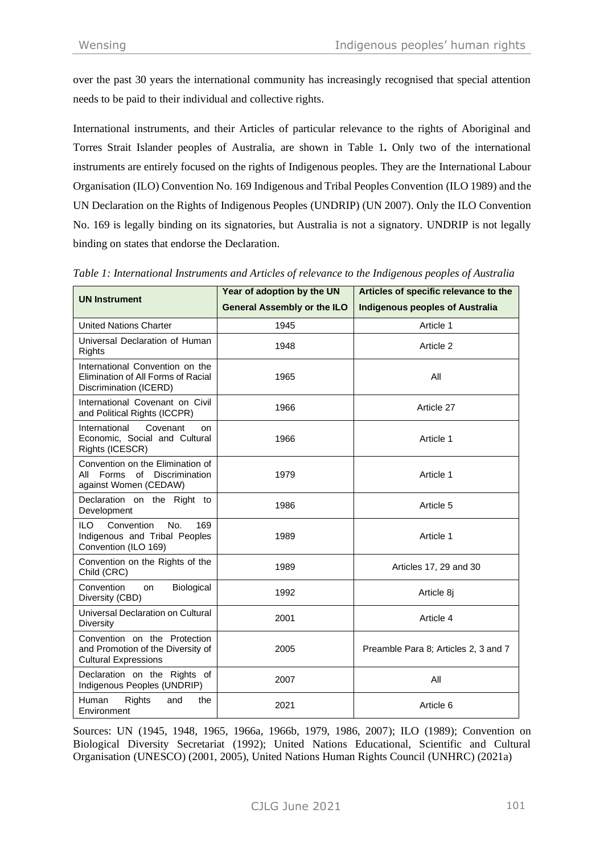over the past 30 years the international community has increasingly recognised that special attention needs to be paid to their individual and collective rights.

International instruments, and their Articles of particular relevance to the rights of Aboriginal and Torres Strait Islander peoples of Australia, are shown in Table 1**.** Only two of the international instruments are entirely focused on the rights of Indigenous peoples. They are the International Labour Organisation (ILO) Convention No. 169 Indigenous and Tribal Peoples Convention (ILO 1989) and the UN Declaration on the Rights of Indigenous Peoples (UNDRIP) (UN 2007). Only the ILO Convention No. 169 is legally binding on its signatories, but Australia is not a signatory. UNDRIP is not legally binding on states that endorse the Declaration.

| <b>UN Instrument</b>                                                                             | Year of adoption by the UN         | Articles of specific relevance to the  |
|--------------------------------------------------------------------------------------------------|------------------------------------|----------------------------------------|
|                                                                                                  | <b>General Assembly or the ILO</b> | <b>Indigenous peoples of Australia</b> |
| <b>United Nations Charter</b>                                                                    | 1945                               | Article 1                              |
| Universal Declaration of Human<br>Rights                                                         | 1948                               | Article 2                              |
| International Convention on the<br>Elimination of All Forms of Racial<br>Discrimination (ICERD)  | 1965                               | All                                    |
| International Covenant on Civil<br>and Political Rights (ICCPR)                                  | 1966                               | Article 27                             |
| International<br>Covenant<br>on<br>Economic. Social and Cultural<br>Rights (ICESCR)              | 1966                               | Article 1                              |
| Convention on the Elimination of<br>of Discrimination<br>All Forms<br>against Women (CEDAW)      | 1979                               | Article 1                              |
| Declaration on the Right to<br>Development                                                       | 1986                               | Article 5                              |
| ILO.<br>Convention<br>No.<br>169<br>Indigenous and Tribal Peoples<br>Convention (ILO 169)        | 1989                               | Article 1                              |
| Convention on the Rights of the<br>Child (CRC)                                                   | 1989                               | Articles 17, 29 and 30                 |
| Convention<br>Biological<br>on<br>Diversity (CBD)                                                | 1992                               | Article 8j                             |
| Universal Declaration on Cultural<br><b>Diversity</b>                                            | 2001                               | Article 4                              |
| Convention on the Protection<br>and Promotion of the Diversity of<br><b>Cultural Expressions</b> | 2005                               | Preamble Para 8; Articles 2, 3 and 7   |
| Declaration on the Rights of<br>Indigenous Peoples (UNDRIP)                                      | 2007                               | All                                    |
| Human<br><b>Rights</b><br>and<br>the<br>Environment                                              | 2021                               | Article 6                              |

*Table 1: International Instruments and Articles of relevance to the Indigenous peoples of Australia*

Sources: UN (1945, 1948, 1965, 1966a, 1966b, 1979, 1986, 2007); ILO (1989); Convention on Biological Diversity Secretariat (1992); United Nations Educational, Scientific and Cultural Organisation (UNESCO) (2001, 2005), United Nations Human Rights Council (UNHRC) (2021a)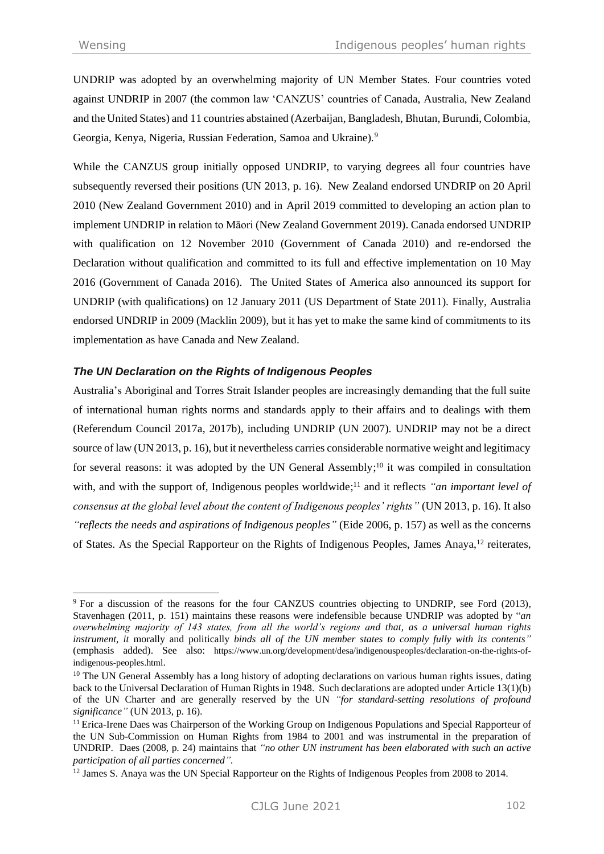UNDRIP was adopted by an overwhelming majority of UN Member States. Four countries voted against UNDRIP in 2007 (the common law 'CANZUS' countries of Canada, Australia, New Zealand and the United States) and 11 countries abstained (Azerbaijan, Bangladesh, Bhutan, Burundi, Colombia, Georgia, Kenya, Nigeria, Russian Federation, Samoa and Ukraine).<sup>9</sup>

While the CANZUS group initially opposed UNDRIP, to varying degrees all four countries have subsequently reversed their positions (UN 2013, p. 16). New Zealand endorsed UNDRIP on 20 April 2010 (New Zealand Government 2010) and in April 2019 committed to developing an action plan to implement UNDRIP in relation to Māori (New Zealand Government 2019). Canada endorsed UNDRIP with qualification on 12 November 2010 (Government of Canada 2010) and re-endorsed the Declaration without qualification and committed to its full and effective implementation on 10 May 2016 (Government of Canada 2016). The United States of America also announced its support for UNDRIP (with qualifications) on 12 January 2011 (US Department of State 2011). Finally, Australia endorsed UNDRIP in 2009 (Macklin 2009), but it has yet to make the same kind of commitments to its implementation as have Canada and New Zealand.

# *The UN Declaration on the Rights of Indigenous Peoples*

Australia's Aboriginal and Torres Strait Islander peoples are increasingly demanding that the full suite of international human rights norms and standards apply to their affairs and to dealings with them (Referendum Council 2017a, 2017b), including UNDRIP (UN 2007). UNDRIP may not be a direct source of law (UN 2013, p. 16), but it nevertheless carries considerable normative weight and legitimacy for several reasons: it was adopted by the UN General Assembly;<sup>10</sup> it was compiled in consultation with, and with the support of, Indigenous peoples worldwide;<sup>11</sup> and it reflects "an important level of *consensus at the global level about the content of Indigenous peoples' rights"* (UN 2013, p. 16). It also *"reflects the needs and aspirations of Indigenous peoples"* (Eide 2006, p. 157) as well as the concerns of States. As the Special Rapporteur on the Rights of Indigenous Peoples, James Anaya,<sup>12</sup> reiterates,

<sup>&</sup>lt;sup>9</sup> For a discussion of the reasons for the four CANZUS countries objecting to UNDRIP, see Ford (2013), Stavenhagen (2011, p. 151) maintains these reasons were indefensible because UNDRIP was adopted by "*an overwhelming majority of 143 states, from all the world's regions and that, as a universal human rights instrument, it* morally and politically *binds all of the UN member states to comply fully with its contents"* (emphasis added). See also: [https://www.un.org/development/desa/indigenouspeoples/declaration-on-the-rights-of](https://www.un.org/development/desa/indigenouspeoples/declaration-on-the-rights-of-indigenous-peoples.html)[indigenous-peoples.html](https://www.un.org/development/desa/indigenouspeoples/declaration-on-the-rights-of-indigenous-peoples.html).

<sup>&</sup>lt;sup>10</sup> The UN General Assembly has a long history of adopting declarations on various human rights issues, dating back to the Universal Declaration of Human Rights in 1948. Such declarations are adopted under Article 13(1)(b) of the UN Charter and are generally reserved by the UN *"for standard-setting resolutions of profound significance"* (UN 2013, p. 16).

<sup>&</sup>lt;sup>11</sup> Erica-Irene Daes was Chairperson of the Working Group on Indigenous Populations and Special Rapporteur of the UN Sub-Commission on Human Rights from 1984 to 2001 and was instrumental in the preparation of UNDRIP. Daes (2008, p. 24) maintains that *"no other UN instrument has been elaborated with such an active participation of all parties concerned".*

<sup>&</sup>lt;sup>12</sup> James S. Anaya was the UN Special Rapporteur on the Rights of Indigenous Peoples from 2008 to 2014.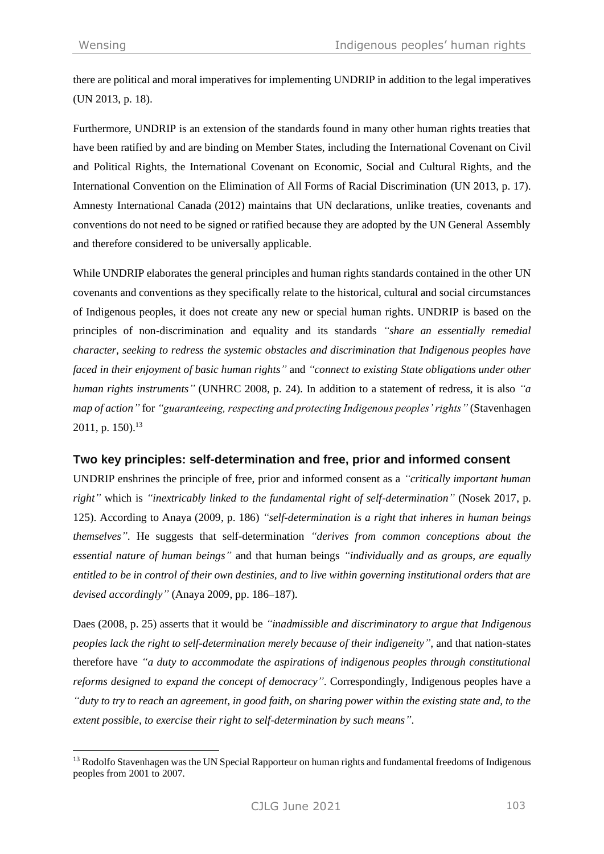there are political and moral imperatives for implementing UNDRIP in addition to the legal imperatives (UN 2013, p. 18).

Furthermore, UNDRIP is an extension of the standards found in many other human rights treaties that have been ratified by and are binding on Member States, including the International Covenant on Civil and Political Rights, the International Covenant on Economic, Social and Cultural Rights, and the International Convention on the Elimination of All Forms of Racial Discrimination (UN 2013, p. 17). Amnesty International Canada (2012) maintains that UN declarations, unlike treaties, covenants and conventions do not need to be signed or ratified because they are adopted by the UN General Assembly and therefore considered to be universally applicable.

While UNDRIP elaborates the general principles and human rights standards contained in the other UN covenants and conventions as they specifically relate to the historical, cultural and social circumstances of Indigenous peoples, it does not create any new or special human rights. UNDRIP is based on the principles of non-discrimination and equality and its standards *"share an essentially remedial character, seeking to redress the systemic obstacles and discrimination that Indigenous peoples have faced in their enjoyment of basic human rights"* and *"connect to existing State obligations under other human rights instruments"* (UNHRC 2008, p. 24). In addition to a statement of redress, it is also *"a map of action"* for *"guaranteeing, respecting and protecting Indigenous peoples' rights"* (Stavenhagen 2011, p. 150).<sup>13</sup>

# **Two key principles: self-determination and free, prior and informed consent**

UNDRIP enshrines the principle of free, prior and informed consent as a *"critically important human right"* which is *"inextricably linked to the fundamental right of self-determination"* (Nosek 2017, p. 125). According to Anaya (2009, p. 186) *"self-determination is a right that inheres in human beings themselves"*. He suggests that self-determination *"derives from common conceptions about the essential nature of human beings"* and that human beings *"individually and as groups, are equally entitled to be in control of their own destinies, and to live within governing institutional orders that are devised accordingly"* (Anaya 2009, pp. 186–187).

Daes (2008, p. 25) asserts that it would be *"inadmissible and discriminatory to argue that Indigenous peoples lack the right to self-determination merely because of their indigeneity"*, and that nation-states therefore have *"a duty to accommodate the aspirations of indigenous peoples through constitutional reforms designed to expand the concept of democracy"*. Correspondingly, Indigenous peoples have a *"duty to try to reach an agreement, in good faith, on sharing power within the existing state and, to the extent possible, to exercise their right to self-determination by such means"*.

<sup>&</sup>lt;sup>13</sup> Rodolfo Stavenhagen was the UN Special Rapporteur on human rights and fundamental freedoms of Indigenous peoples from 2001 to 2007.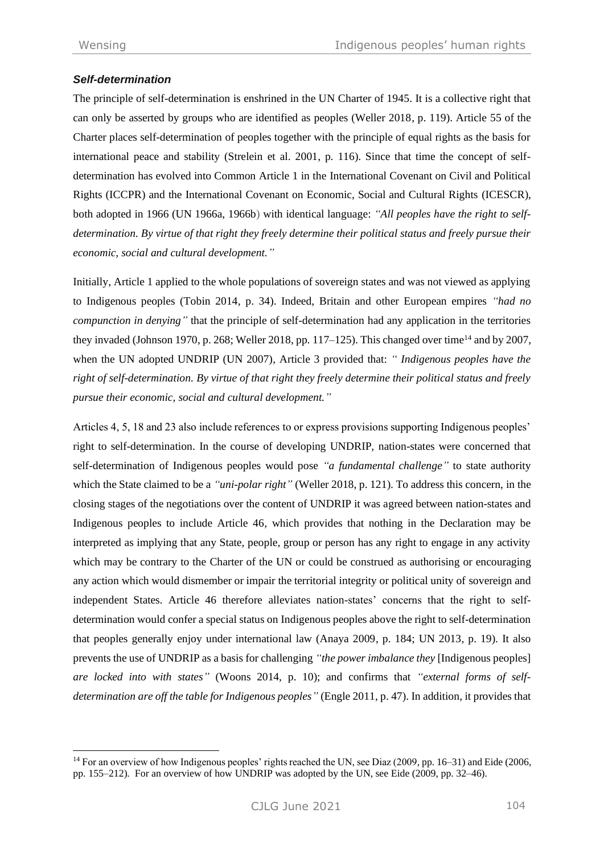# *Self-determination*

The principle of self-determination is enshrined in the UN Charter of 1945. It is a collective right that can only be asserted by groups who are identified as peoples (Weller 2018, p. 119). Article 55 of the Charter places self-determination of peoples together with the principle of equal rights as the basis for international peace and stability (Strelein et al. 2001, p. 116). Since that time the concept of selfdetermination has evolved into Common Article 1 in the International Covenant on Civil and Political Rights (ICCPR) and the International Covenant on Economic, Social and Cultural Rights (ICESCR), both adopted in 1966 (UN 1966a, 1966b) with identical language: *"All peoples have the right to selfdetermination. By virtue of that right they freely determine their political status and freely pursue their economic, social and cultural development."*

Initially, Article 1 applied to the whole populations of sovereign states and was not viewed as applying to Indigenous peoples (Tobin 2014, p. 34). Indeed, Britain and other European empires *"had no compunction in denying"* that the principle of self-determination had any application in the territories they invaded (Johnson 1970, p. 268; Weller 2018, pp. 117–125). This changed over time<sup>14</sup> and by 2007, when the UN adopted UNDRIP (UN 2007), Article 3 provided that: *" Indigenous peoples have the right of self-determination. By virtue of that right they freely determine their political status and freely pursue their economic, social and cultural development."*

Articles 4, 5, 18 and 23 also include references to or express provisions supporting Indigenous peoples' right to self-determination. In the course of developing UNDRIP, nation-states were concerned that self-determination of Indigenous peoples would pose *"a fundamental challenge"* to state authority which the State claimed to be a *"uni-polar right"* (Weller 2018, p. 121). To address this concern, in the closing stages of the negotiations over the content of UNDRIP it was agreed between nation-states and Indigenous peoples to include Article 46, which provides that nothing in the Declaration may be interpreted as implying that any State, people, group or person has any right to engage in any activity which may be contrary to the Charter of the UN or could be construed as authorising or encouraging any action which would dismember or impair the territorial integrity or political unity of sovereign and independent States. Article 46 therefore alleviates nation-states' concerns that the right to selfdetermination would confer a special status on Indigenous peoples above the right to self-determination that peoples generally enjoy under international law (Anaya 2009, p. 184; UN 2013, p. 19). It also prevents the use of UNDRIP as a basis for challenging *"the power imbalance they* [Indigenous peoples] *are locked into with states"* (Woons 2014, p. 10); and confirms that *"external forms of selfdetermination are off the table for Indigenous peoples"* (Engle 2011, p. 47). In addition, it provides that

<sup>&</sup>lt;sup>14</sup> For an overview of how Indigenous peoples' rights reached the UN, see Diaz (2009, pp. 16–31) and Eide (2006, pp. 155–212). For an overview of how UNDRIP was adopted by the UN, see Eide (2009, pp. 32–46).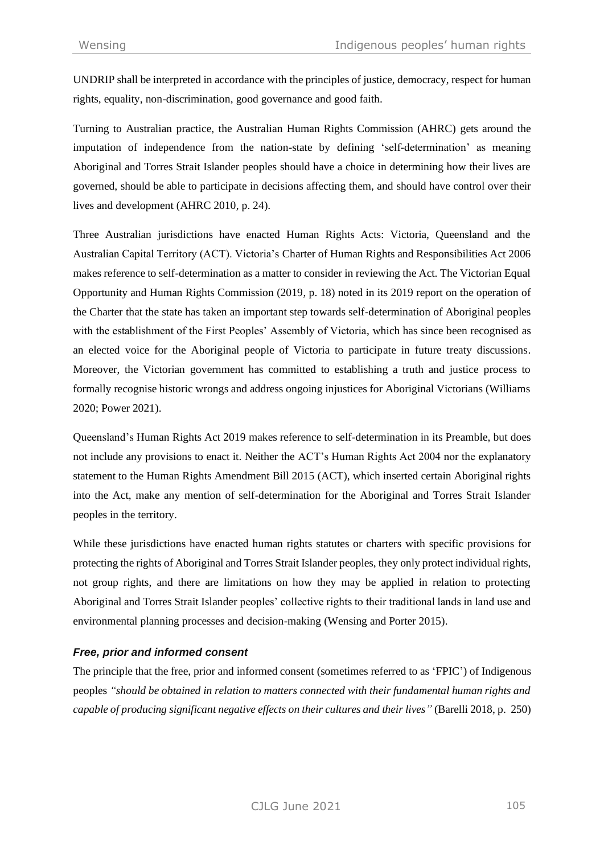UNDRIP shall be interpreted in accordance with the principles of justice, democracy, respect for human rights, equality, non-discrimination, good governance and good faith.

Turning to Australian practice, the Australian Human Rights Commission (AHRC) gets around the imputation of independence from the nation-state by defining 'self-determination' as meaning Aboriginal and Torres Strait Islander peoples should have a choice in determining how their lives are governed, should be able to participate in decisions affecting them, and should have control over their lives and development (AHRC 2010, p. 24).

Three Australian jurisdictions have enacted Human Rights Acts: Victoria, Queensland and the Australian Capital Territory (ACT). Victoria's Charter of Human Rights and Responsibilities Act 2006 makes reference to self-determination as a matter to consider in reviewing the Act. The Victorian Equal Opportunity and Human Rights Commission (2019, p. 18) noted in its 2019 report on the operation of the Charter that the state has taken an important step towards self-determination of Aboriginal peoples with the establishment of the First Peoples' Assembly of Victoria, which has since been recognised as an elected voice for the Aboriginal people of Victoria to participate in future treaty discussions. Moreover, the Victorian government has committed to establishing a truth and justice process to formally recognise historic wrongs and address ongoing injustices for Aboriginal Victorians (Williams 2020; Power 2021).

Queensland's Human Rights Act 2019 makes reference to self-determination in its Preamble, but does not include any provisions to enact it. Neither the ACT's Human Rights Act 2004 nor the explanatory statement to the Human Rights Amendment Bill 2015 (ACT), which inserted certain Aboriginal rights into the Act, make any mention of self-determination for the Aboriginal and Torres Strait Islander peoples in the territory.

While these jurisdictions have enacted human rights statutes or charters with specific provisions for protecting the rights of Aboriginal and Torres Strait Islander peoples, they only protect individual rights, not group rights, and there are limitations on how they may be applied in relation to protecting Aboriginal and Torres Strait Islander peoples' collective rights to their traditional lands in land use and environmental planning processes and decision-making (Wensing and Porter 2015).

# *Free, prior and informed consent*

The principle that the free, prior and informed consent (sometimes referred to as 'FPIC') of Indigenous peoples *"should be obtained in relation to matters connected with their fundamental human rights and capable of producing significant negative effects on their cultures and their lives"* (Barelli 2018, p. 250)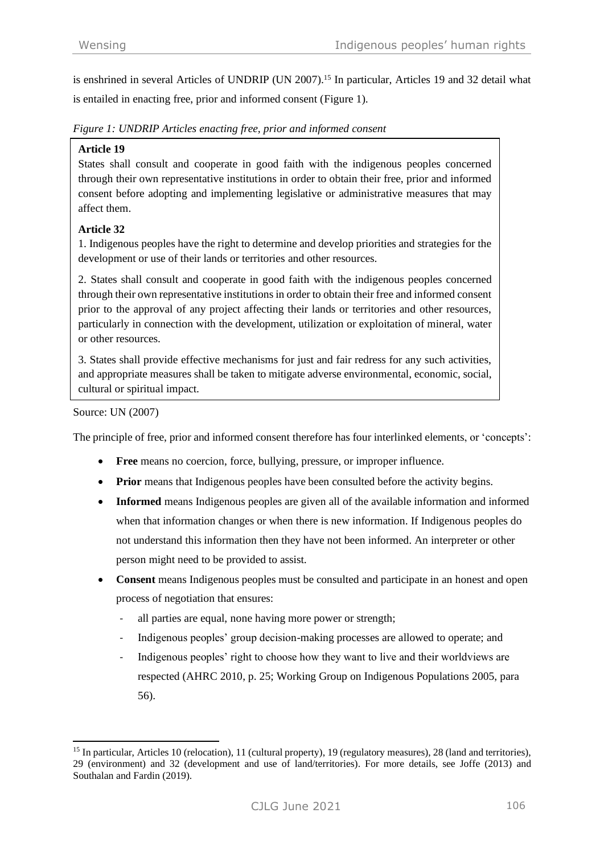is enshrined in several Articles of UNDRIP (UN 2007).<sup>15</sup> In particular, Articles 19 and 32 detail what is entailed in enacting free, prior and informed consent (Figure 1).

*Figure 1: UNDRIP Articles enacting free, prior and informed consent*

### **Article 19**

States shall consult and cooperate in good faith with the indigenous peoples concerned through their own representative institutions in order to obtain their free, prior and informed consent before adopting and implementing legislative or administrative measures that may affect them.

# **Article 32**

1. Indigenous peoples have the right to determine and develop priorities and strategies for the development or use of their lands or territories and other resources.

2. States shall consult and cooperate in good faith with the indigenous peoples concerned through their own representative institutions in order to obtain their free and informed consent prior to the approval of any project affecting their lands or territories and other resources, particularly in connection with the development, utilization or exploitation of mineral, water or other resources.

3. States shall provide effective mechanisms for just and fair redress for any such activities, and appropriate measures shall be taken to mitigate adverse environmental, economic, social, cultural or spiritual impact.

#### Source: UN (2007)

The principle of free, prior and informed consent therefore has four interlinked elements, or 'concepts':

- **Free** means no coercion, force, bullying, pressure, or improper influence.
- **Prior** means that Indigenous peoples have been consulted before the activity begins.
- **Informed** means Indigenous peoples are given all of the available information and informed when that information changes or when there is new information. If Indigenous peoples do not understand this information then they have not been informed. An interpreter or other person might need to be provided to assist.
- **Consent** means Indigenous peoples must be consulted and participate in an honest and open process of negotiation that ensures:
	- all parties are equal, none having more power or strength;
	- Indigenous peoples' group decision-making processes are allowed to operate; and
	- Indigenous peoples' right to choose how they want to live and their worldviews are respected (AHRC 2010, p. 25; Working Group on Indigenous Populations 2005, para 56).

<sup>15</sup> In particular, Articles 10 (relocation), 11 (cultural property), 19 (regulatory measures), 28 (land and territories), 29 (environment) and 32 (development and use of land/territories). For more details, see Joffe (2013) and Southalan and Fardin (2019).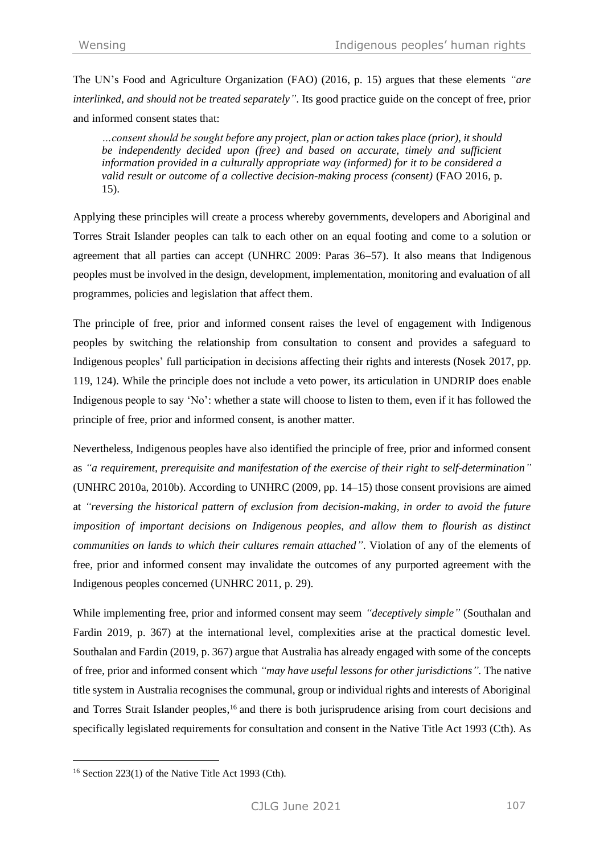The UN's Food and Agriculture Organization (FAO) (2016, p. 15) argues that these elements *"are interlinked, and should not be treated separately"*. Its good practice guide on the concept of free, prior and informed consent states that:

*…consent should be sought before any project, plan or action takes place (prior), it should be independently decided upon (free) and based on accurate, timely and sufficient information provided in a culturally appropriate way (informed) for it to be considered a valid result or outcome of a collective decision-making process (consent)* (FAO 2016, p. 15).

Applying these principles will create a process whereby governments, developers and Aboriginal and Torres Strait Islander peoples can talk to each other on an equal footing and come to a solution or agreement that all parties can accept (UNHRC 2009: Paras 36–57). It also means that Indigenous peoples must be involved in the design, development, implementation, monitoring and evaluation of all programmes, policies and legislation that affect them.

The principle of free, prior and informed consent raises the level of engagement with Indigenous peoples by switching the relationship from consultation to consent and provides a safeguard to Indigenous peoples' full participation in decisions affecting their rights and interests (Nosek 2017, pp. 119, 124). While the principle does not include a veto power, its articulation in UNDRIP does enable Indigenous people to say 'No': whether a state will choose to listen to them, even if it has followed the principle of free, prior and informed consent, is another matter.

Nevertheless, Indigenous peoples have also identified the principle of free, prior and informed consent as *"a requirement, prerequisite and manifestation of the exercise of their right to self-determination"* (UNHRC 2010a, 2010b). According to UNHRC (2009, pp. 14–15) those consent provisions are aimed at *"reversing the historical pattern of exclusion from decision-making, in order to avoid the future imposition of important decisions on Indigenous peoples, and allow them to flourish as distinct communities on lands to which their cultures remain attached"*. Violation of any of the elements of free, prior and informed consent may invalidate the outcomes of any purported agreement with the Indigenous peoples concerned (UNHRC 2011, p. 29).

While implementing free, prior and informed consent may seem *"deceptively simple"* (Southalan and Fardin 2019, p. 367) at the international level, complexities arise at the practical domestic level. Southalan and Fardin (2019, p. 367) argue that Australia has already engaged with some of the concepts of free, prior and informed consent which *"may have useful lessons for other jurisdictions".* The native title system in Australia recognises the communal, group or individual rights and interests of Aboriginal and Torres Strait Islander peoples, <sup>16</sup> and there is both jurisprudence arising from court decisions and specifically legislated requirements for consultation and consent in the Native Title Act 1993 (Cth). As

 $16$  Section 223(1) of the Native Title Act 1993 (Cth).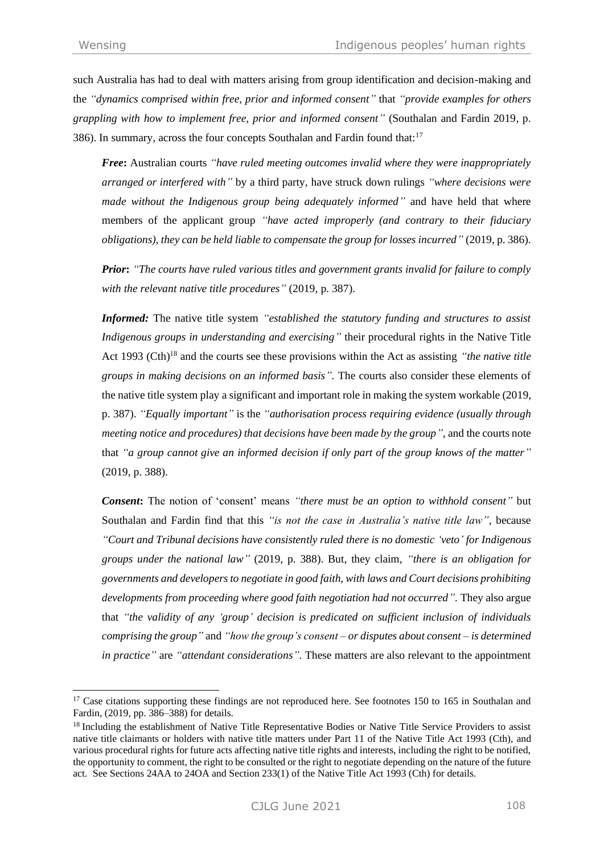such Australia has had to deal with matters arising from group identification and decision-making and the *"dynamics comprised within free, prior and informed consent"* that *"provide examples for others grappling with how to implement free, prior and informed consent"* (Southalan and Fardin 2019, p. 386). In summary, across the four concepts Southalan and Fardin found that:<sup>17</sup>

*Free***:** Australian courts *"have ruled meeting outcomes invalid where they were inappropriately arranged or interfered with"* by a third party, have struck down rulings *"where decisions were made without the Indigenous group being adequately informed"* and have held that where members of the applicant group *"have acted improperly (and contrary to their fiduciary obligations), they can be held liable to compensate the group for losses incurred"* (2019, p. 386).

*Prior***:** *"The courts have ruled various titles and government grants invalid for failure to comply with the relevant native title procedures"* (2019, p. 387).

*Informed:* The native title system *"established the statutory funding and structures to assist Indigenous groups in understanding and exercising"* their procedural rights in the Native Title Act 1993 (Cth)<sup>18</sup> and the courts see these provisions within the Act as assisting *"the native title groups in making decisions on an informed basis".* The courts also consider these elements of the native title system play a significant and important role in making the system workable (2019, p. 387). *"Equally important"* is the *"authorisation process requiring evidence (usually through meeting notice and procedures) that decisions have been made by the group"*, and the courts note that *"a group cannot give an informed decision if only part of the group knows of the matter"* (2019, p. 388).

*Consent***:** The notion of 'consent' means *"there must be an option to withhold consent"* but Southalan and Fardin find that this *"is not the case in Australia's native title law"*, because *"Court and Tribunal decisions have consistently ruled there is no domestic 'veto' for Indigenous groups under the national law"* (2019, p. 388). But, they claim, *"there is an obligation for governments and developers to negotiate in good faith, with laws and Court decisions prohibiting*  developments from proceeding where good faith negotiation had not occurred". They also argue that *"the validity of any 'group' decision is predicated on sufficient inclusion of individuals comprising the group"* and *"how the group's consent – or disputes about consent – is determined in practice"* are *"attendant considerations".* These matters are also relevant to the appointment

<sup>&</sup>lt;sup>17</sup> Case citations supporting these findings are not reproduced here. See footnotes 150 to 165 in Southalan and Fardin, (2019, pp. 386–388) for details.

<sup>&</sup>lt;sup>18</sup> Including the establishment of Native Title Representative Bodies or Native Title Service Providers to assist native title claimants or holders with native title matters under Part 11 of the Native Title Act 1993 (Cth), and various procedural rights for future acts affecting native title rights and interests, including the right to be notified, the opportunity to comment, the right to be consulted or the right to negotiate depending on the nature of the future act. See Sections 24AA to 24OA and Section 233(1) of the Native Title Act 1993 (Cth) for details.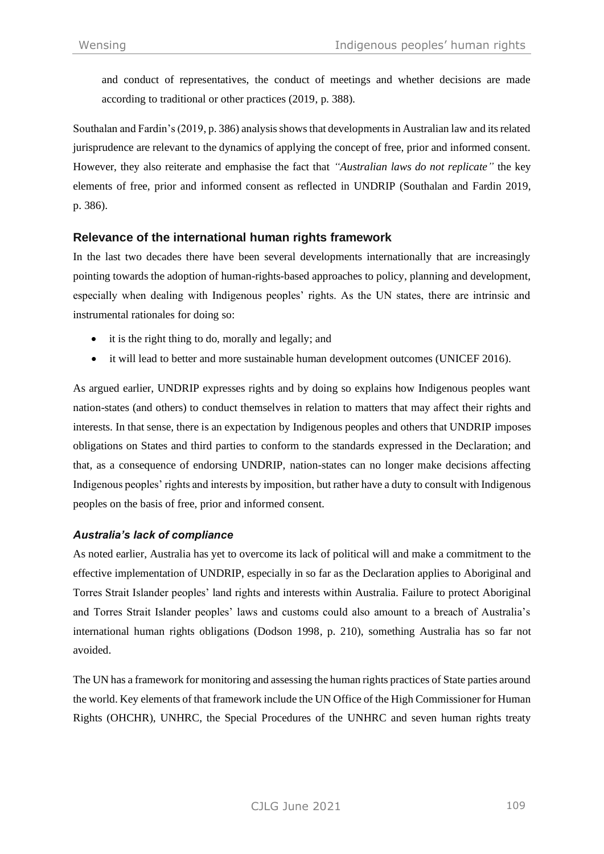and conduct of representatives, the conduct of meetings and whether decisions are made according to traditional or other practices (2019, p. 388).

Southalan and Fardin's (2019, p. 386) analysis shows that developments in Australian law and its related jurisprudence are relevant to the dynamics of applying the concept of free, prior and informed consent. However, they also reiterate and emphasise the fact that *"Australian laws do not replicate"* the key elements of free, prior and informed consent as reflected in UNDRIP (Southalan and Fardin 2019, p. 386).

# **Relevance of the international human rights framework**

In the last two decades there have been several developments internationally that are increasingly pointing towards the adoption of human-rights-based approaches to policy, planning and development, especially when dealing with Indigenous peoples' rights. As the UN states, there are intrinsic and instrumental rationales for doing so:

- it is the right thing to do, morally and legally; and
- it will lead to better and more sustainable human development outcomes (UNICEF 2016).

As argued earlier, UNDRIP expresses rights and by doing so explains how Indigenous peoples want nation-states (and others) to conduct themselves in relation to matters that may affect their rights and interests. In that sense, there is an expectation by Indigenous peoples and others that UNDRIP imposes obligations on States and third parties to conform to the standards expressed in the Declaration; and that, as a consequence of endorsing UNDRIP, nation-states can no longer make decisions affecting Indigenous peoples' rights and interests by imposition, but rather have a duty to consult with Indigenous peoples on the basis of free, prior and informed consent.

#### *Australia's lack of compliance*

As noted earlier, Australia has yet to overcome its lack of political will and make a commitment to the effective implementation of UNDRIP, especially in so far as the Declaration applies to Aboriginal and Torres Strait Islander peoples' land rights and interests within Australia. Failure to protect Aboriginal and Torres Strait Islander peoples' laws and customs could also amount to a breach of Australia's international human rights obligations (Dodson 1998, p. 210), something Australia has so far not avoided.

The UN has a framework for monitoring and assessing the human rights practices of State parties around the world. Key elements of that framework include the UN Office of the High Commissioner for Human Rights (OHCHR), UNHRC, the Special Procedures of the UNHRC and seven human rights treaty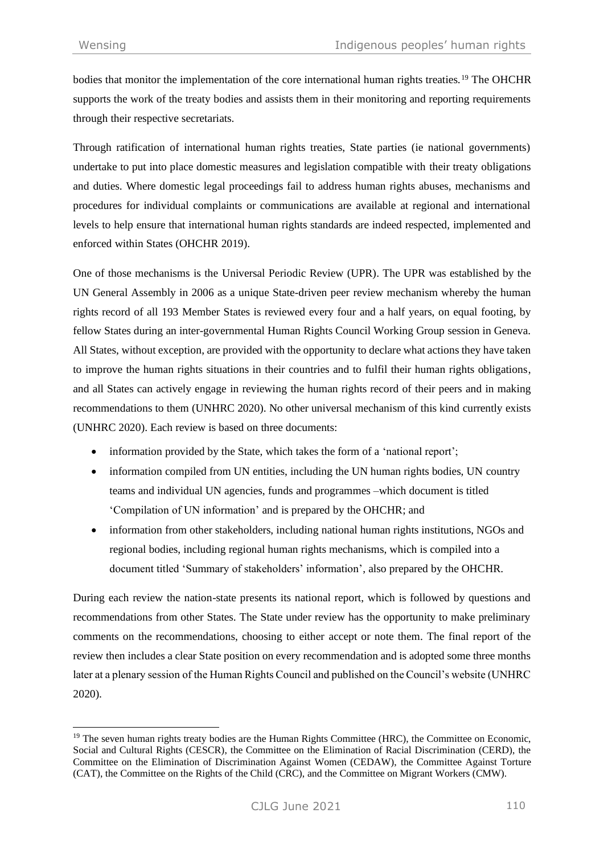bodies that monitor the implementation of the core international human rights treaties.<sup>19</sup> The OHCHR supports the work of the treaty bodies and assists them in their monitoring and reporting requirements through their respective secretariats.

Through ratification of international human rights treaties, State parties (ie national governments) undertake to put into place domestic measures and legislation compatible with their treaty obligations and duties. Where domestic legal proceedings fail to address human rights abuses, mechanisms and procedures for individual complaints or communications are available at regional and international levels to help ensure that international human rights standards are indeed respected, implemented and enforced within States (OHCHR 2019).

One of those mechanisms is the Universal Periodic Review (UPR). The UPR was established by the UN General Assembly in 2006 as a unique State-driven peer review mechanism whereby the human rights record of all 193 Member States is reviewed every four and a half years, on equal footing, by fellow States during an inter-governmental Human Rights Council Working Group session in Geneva. All States, without exception, are provided with the opportunity to declare what actions they have taken to improve the human rights situations in their countries and to fulfil their human rights obligations, and all States can actively engage in reviewing the human rights record of their peers and in making recommendations to them (UNHRC 2020). No other universal mechanism of this kind currently exists (UNHRC 2020). Each review is based on three documents:

- information provided by the State, which takes the form of a 'national report';
- information compiled from UN entities, including the UN human rights bodies, UN country teams and individual UN agencies, funds and programmes –which document is titled 'Compilation of UN information' and is prepared by the OHCHR; and
- information from other stakeholders, including national human rights institutions, NGOs and regional bodies, including regional human rights mechanisms, which is compiled into a document titled 'Summary of stakeholders' information', also prepared by the OHCHR.

During each review the nation-state presents its national report, which is followed by questions and recommendations from other States. The State under review has the opportunity to make preliminary comments on the recommendations, choosing to either accept or note them. The final report of the review then includes a clear State position on every recommendation and is adopted some three months later at a plenary session of the Human Rights Council and published on the Council's website (UNHRC 2020).

<sup>&</sup>lt;sup>19</sup> The seven human rights treaty bodies are the Human Rights Committee (HRC), the Committee on Economic, Social and Cultural Rights (CESCR), the Committee on the Elimination of Racial Discrimination (CERD), the Committee on the Elimination of Discrimination Against Women (CEDAW), the Committee Against Torture (CAT), the Committee on the Rights of the Child (CRC), and the Committee on Migrant Workers (CMW).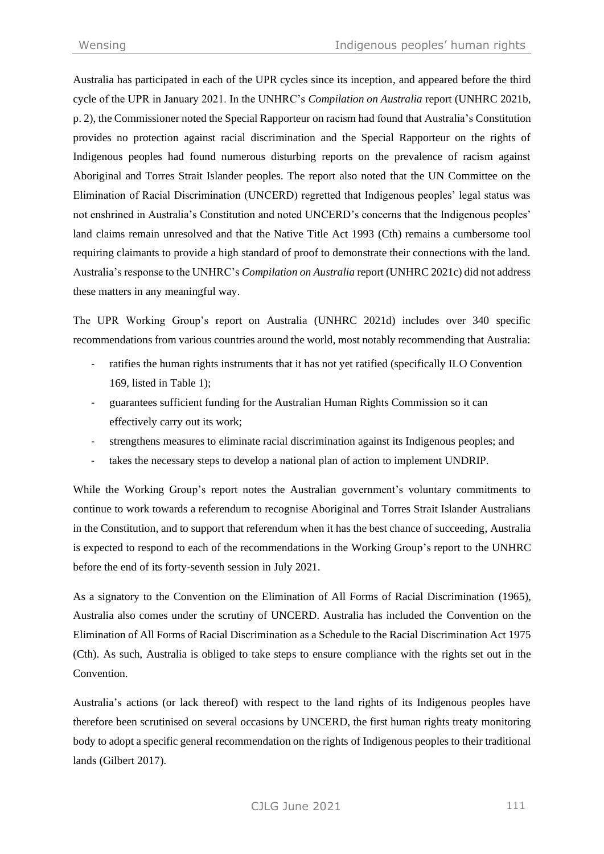Australia has participated in each of the UPR cycles since its inception, and appeared before the third cycle of the UPR in January 2021. In the UNHRC's *Compilation on Australia* report (UNHRC 2021b, p. 2), the Commissioner noted the Special Rapporteur on racism had found that Australia's Constitution provides no protection against racial discrimination and the Special Rapporteur on the rights of Indigenous peoples had found numerous disturbing reports on the prevalence of racism against Aboriginal and Torres Strait Islander peoples. The report also noted that the UN Committee on the Elimination of Racial Discrimination (UNCERD) regretted that Indigenous peoples' legal status was not enshrined in Australia's Constitution and noted UNCERD's concerns that the Indigenous peoples' land claims remain unresolved and that the Native Title Act 1993 (Cth) remains a cumbersome tool requiring claimants to provide a high standard of proof to demonstrate their connections with the land. Australia's response to the UNHRC's *Compilation on Australia* report (UNHRC 2021c) did not address these matters in any meaningful way.

The UPR Working Group's report on Australia (UNHRC 2021d) includes over 340 specific recommendations from various countries around the world, most notably recommending that Australia:

- ratifies the human rights instruments that it has not yet ratified (specifically ILO Convention 169, listed in Table 1);
- guarantees sufficient funding for the Australian Human Rights Commission so it can effectively carry out its work;
- strengthens measures to eliminate racial discrimination against its Indigenous peoples; and
- takes the necessary steps to develop a national plan of action to implement UNDRIP.

While the Working Group's report notes the Australian government's voluntary commitments to continue to work towards a referendum to recognise Aboriginal and Torres Strait Islander Australians in the Constitution, and to support that referendum when it has the best chance of succeeding, Australia is expected to respond to each of the recommendations in the Working Group's report to the UNHRC before the end of its forty-seventh session in July 2021.

As a signatory to the Convention on the Elimination of All Forms of Racial Discrimination (1965), Australia also comes under the scrutiny of UNCERD. Australia has included the Convention on the Elimination of All Forms of Racial Discrimination as a Schedule to the Racial Discrimination Act 1975 (Cth). As such, Australia is obliged to take steps to ensure compliance with the rights set out in the **Convention** 

Australia's actions (or lack thereof) with respect to the land rights of its Indigenous peoples have therefore been scrutinised on several occasions by UNCERD, the first human rights treaty monitoring body to adopt a specific general recommendation on the rights of Indigenous peoples to their traditional lands (Gilbert 2017).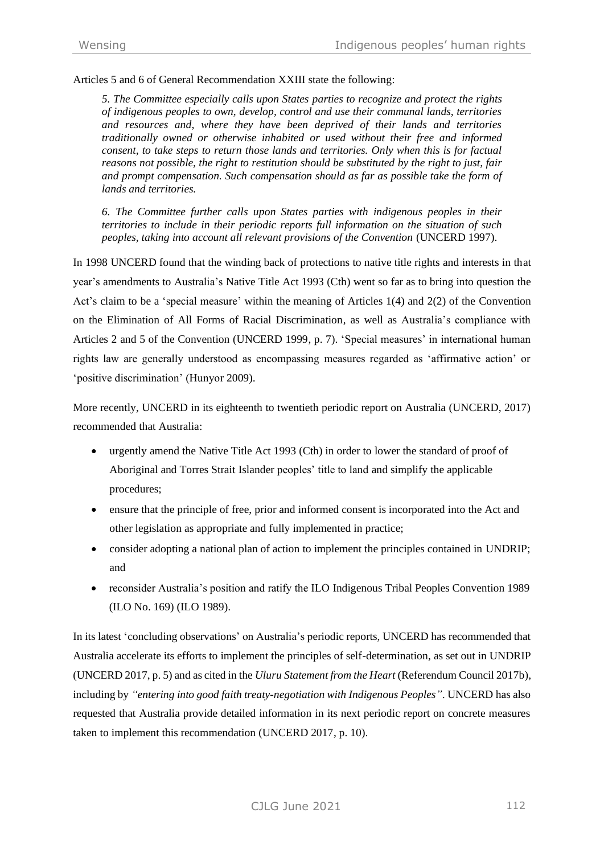Articles 5 and 6 of General Recommendation XXIII state the following:

*5. The Committee especially calls upon States parties to recognize and protect the rights of indigenous peoples to own, develop, control and use their communal lands, territories and resources and, where they have been deprived of their lands and territories traditionally owned or otherwise inhabited or used without their free and informed consent, to take steps to return those lands and territories. Only when this is for factual reasons not possible, the right to restitution should be substituted by the right to just, fair and prompt compensation. Such compensation should as far as possible take the form of lands and territories.*

*6. The Committee further calls upon States parties with indigenous peoples in their territories to include in their periodic reports full information on the situation of such peoples, taking into account all relevant provisions of the Convention* (UNCERD 1997).

In 1998 UNCERD found that the winding back of protections to native title rights and interests in that year's amendments to Australia's Native Title Act 1993 (Cth) went so far as to bring into question the Act's claim to be a 'special measure' within the meaning of Articles 1(4) and 2(2) of the Convention on the Elimination of All Forms of Racial Discrimination*,* as well as Australia's compliance with Articles 2 and 5 of the Convention (UNCERD 1999, p. 7). 'Special measures' in international human rights law are generally understood as encompassing measures regarded as 'affirmative action' or 'positive discrimination' (Hunyor 2009).

More recently, UNCERD in its eighteenth to twentieth periodic report on Australia (UNCERD, 2017) recommended that Australia:

- urgently amend the Native Title Act 1993 (Cth) in order to lower the standard of proof of Aboriginal and Torres Strait Islander peoples' title to land and simplify the applicable procedures;
- ensure that the principle of free, prior and informed consent is incorporated into the Act and other legislation as appropriate and fully implemented in practice;
- consider adopting a national plan of action to implement the principles contained in UNDRIP; and
- reconsider Australia's position and ratify the ILO Indigenous Tribal Peoples Convention 1989 (ILO No. 169) (ILO 1989).

In its latest 'concluding observations' on Australia's periodic reports, UNCERD has recommended that Australia accelerate its efforts to implement the principles of self-determination, as set out in UNDRIP (UNCERD 2017, p. 5) and as cited in the *Uluru Statement from the Heart* (Referendum Council 2017b), including by *"entering into good faith treaty-negotiation with Indigenous Peoples"*. UNCERD has also requested that Australia provide detailed information in its next periodic report on concrete measures taken to implement this recommendation (UNCERD 2017, p. 10).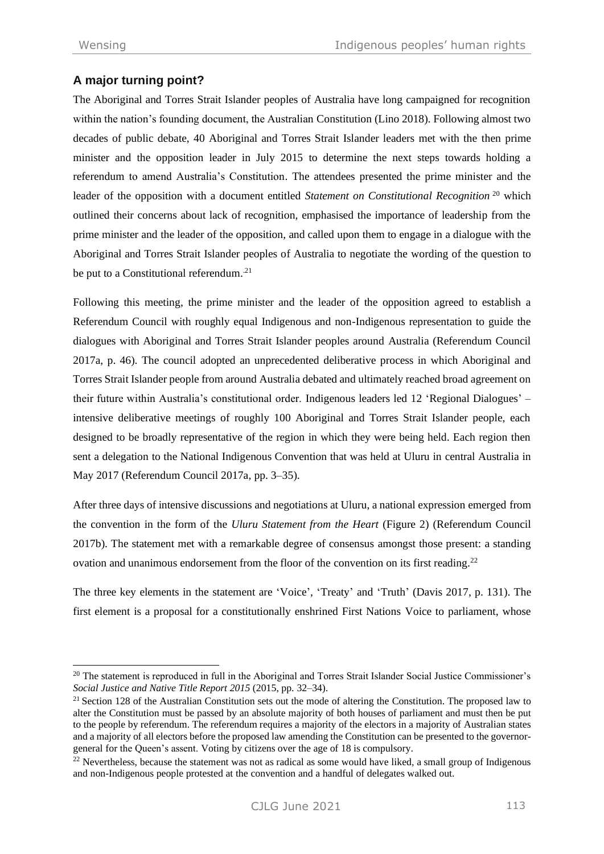# **A major turning point?**

The Aboriginal and Torres Strait Islander peoples of Australia have long campaigned for recognition within the nation's founding document, the Australian Constitution (Lino 2018). Following almost two decades of public debate, 40 Aboriginal and Torres Strait Islander leaders met with the then prime minister and the opposition leader in July 2015 to determine the next steps towards holding a referendum to amend Australia's Constitution. The attendees presented the prime minister and the leader of the opposition with a document entitled *Statement on Constitutional Recognition*<sup>20</sup> which outlined their concerns about lack of recognition, emphasised the importance of leadership from the prime minister and the leader of the opposition, and called upon them to engage in a dialogue with the Aboriginal and Torres Strait Islander peoples of Australia to negotiate the wording of the question to be put to a Constitutional referendum.<sup>21</sup>

Following this meeting, the prime minister and the leader of the opposition agreed to establish a Referendum Council with roughly equal Indigenous and non-Indigenous representation to guide the dialogues with Aboriginal and Torres Strait Islander peoples around Australia (Referendum Council 2017a, p. 46). The council adopted an unprecedented deliberative process in which Aboriginal and Torres Strait Islander people from around Australia debated and ultimately reached broad agreement on their future within Australia's constitutional order. Indigenous leaders led 12 'Regional Dialogues' – intensive deliberative meetings of roughly 100 Aboriginal and Torres Strait Islander people, each designed to be broadly representative of the region in which they were being held. Each region then sent a delegation to the National Indigenous Convention that was held at Uluru in central Australia in May 2017 (Referendum Council 2017a, pp. 3–35).

After three days of intensive discussions and negotiations at Uluru, a national expression emerged from the convention in the form of the *Uluru Statement from the Heart* (Figure 2) (Referendum Council 2017b). The statement met with a remarkable degree of consensus amongst those present: a standing ovation and unanimous endorsement from the floor of the convention on its first reading.<sup>22</sup>

The three key elements in the statement are 'Voice', 'Treaty' and 'Truth' (Davis 2017, p. 131). The first element is a proposal for a constitutionally enshrined First Nations Voice to parliament, whose

<sup>&</sup>lt;sup>20</sup> The statement is reproduced in full in the Aboriginal and Torres Strait Islander Social Justice Commissioner's *Social Justice and Native Title Report 2015* (2015, pp. 32–34).

<sup>&</sup>lt;sup>21</sup> Section 128 of the Australian Constitution sets out the mode of altering the Constitution. The proposed law to alter the Constitution must be passed by an absolute majority of both houses of parliament and must then be put to the people by referendum. The referendum requires a majority of the electors in a majority of Australian states and a majority of all electors before the proposed law amending the Constitution can be presented to the governorgeneral for the Queen's assent. Voting by citizens over the age of 18 is compulsory.

 $22$  Nevertheless, because the statement was not as radical as some would have liked, a small group of Indigenous and non-Indigenous people protested at the convention and a handful of delegates walked out.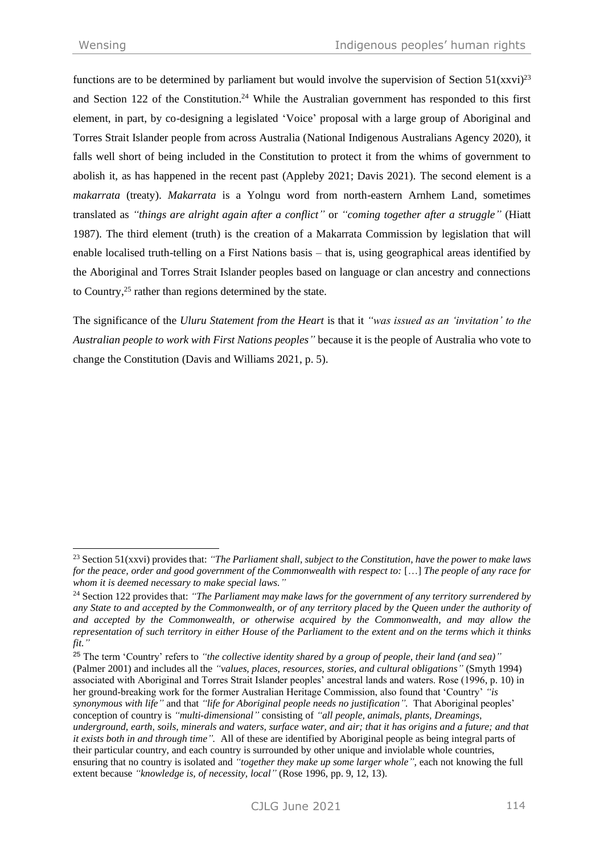functions are to be determined by parliament but would involve the supervision of Section  $51(xxy)^{23}$ and Section 122 of the Constitution. <sup>24</sup> While the Australian government has responded to this first element, in part, by co-designing a legislated 'Voice' proposal with a large group of Aboriginal and Torres Strait Islander people from across Australia (National Indigenous Australians Agency 2020), it falls well short of being included in the Constitution to protect it from the whims of government to abolish it, as has happened in the recent past (Appleby 2021; Davis 2021). The second element is a *makarrata* (treaty). *Makarrata* is a Yolngu word from north-eastern Arnhem Land, sometimes translated as *"things are alright again after a conflict"* or *"coming together after a struggle"* (Hiatt 1987). The third element (truth) is the creation of a Makarrata Commission by legislation that will enable localised truth-telling on a First Nations basis – that is, using geographical areas identified by the Aboriginal and Torres Strait Islander peoples based on language or clan ancestry and connections to Country, <sup>25</sup> rather than regions determined by the state.

The significance of the *Uluru Statement from the Heart* is that it *"was issued as an 'invitation' to the Australian people to work with First Nations peoples"* because it is the people of Australia who vote to change the Constitution (Davis and Williams 2021, p. 5).

<sup>23</sup> Section 51(xxvi) provides that: *"The Parliament shall, subject to the Constitution, have the power to make laws for the peace, order and good government of the Commonwealth with respect to:* […] *The people of any race for whom it is deemed necessary to make special laws."*

<sup>24</sup> Section 122 provides that: *"The Parliament may make laws for the government of any territory surrendered by any State to and accepted by the Commonwealth, or of any territory placed by the Queen under the authority of and accepted by the Commonwealth, or otherwise acquired by the Commonwealth, and may allow the representation of such territory in either House of the Parliament to the extent and on the terms which it thinks fit."*

<sup>25</sup> The term 'Country' refers to *"the collective identity shared by a group of people, their land (and sea)"* (Palmer 2001) and includes all the *"values, places, resources, stories, and cultural obligations"* (Smyth 1994) associated with Aboriginal and Torres Strait Islander peoples' ancestral lands and waters. Rose (1996, p. 10) in her ground-breaking work for the former Australian Heritage Commission, also found that 'Country' *"is synonymous with life"* and that *"life for Aboriginal people needs no justification".* That Aboriginal peoples' conception of country is *"multi-dimensional"* consisting of *"all people, animals, plants, Dreamings, underground, earth, soils, minerals and waters, surface water, and air; that it has origins and a future; and that it exists both in and through time".* All of these are identified by Aboriginal people as being integral parts of their particular country, and each country is surrounded by other unique and inviolable whole countries, ensuring that no country is isolated and *"together they make up some larger whole",* each not knowing the full extent because *"knowledge is, of necessity, local"* (Rose 1996, pp. 9, 12, 13).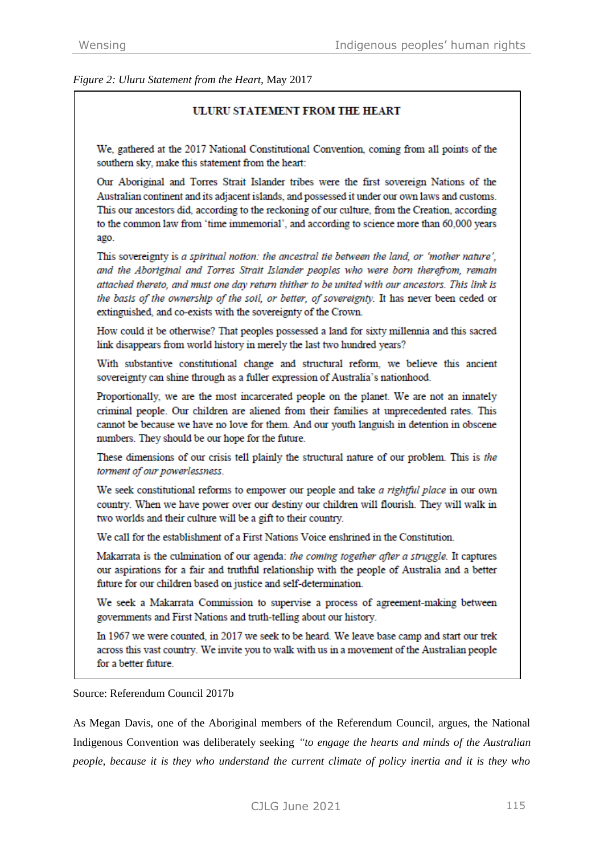*Figure 2: Uluru Statement from the Heart,* May 2017

### **ULURU STATEMENT FROM THE HEART**

We, gathered at the 2017 National Constitutional Convention, coming from all points of the southern sky, make this statement from the heart:

Our Aboriginal and Torres Strait Islander tribes were the first sovereign Nations of the Australian continent and its adjacent islands, and possessed it under our own laws and customs. This our ancestors did, according to the reckoning of our culture, from the Creation, according to the common law from 'time immemorial', and according to science more than 60,000 years ago.

This sovereignty is a spiritual notion: the ancestral tie between the land, or 'mother nature', and the Aboriginal and Torres Strait Islander peoples who were born therefrom, remain attached thereto, and must one day return thither to be united with our ancestors. This link is the basis of the ownership of the soil, or better, of sovereignty. It has never been ceded or extinguished, and co-exists with the sovereignty of the Crown.

How could it be otherwise? That peoples possessed a land for sixty millennia and this sacred link disappears from world history in merely the last two hundred years?

With substantive constitutional change and structural reform, we believe this ancient sovereignty can shine through as a fuller expression of Australia's nationhood.

Proportionally, we are the most incarcerated people on the planet. We are not an innately criminal people. Our children are aliened from their families at unprecedented rates. This cannot be because we have no love for them. And our youth languish in detention in obscene numbers. They should be our hope for the future.

These dimensions of our crisis tell plainly the structural nature of our problem. This is the torment of our powerlessness.

We seek constitutional reforms to empower our people and take a rightful place in our own country. When we have power over our destiny our children will flourish. They will walk in two worlds and their culture will be a gift to their country.

We call for the establishment of a First Nations Voice enshrined in the Constitution.

Makarrata is the culmination of our agenda: the coming together after a struggle. It captures our aspirations for a fair and truthful relationship with the people of Australia and a better future for our children based on justice and self-determination.

We seek a Makarrata Commission to supervise a process of agreement-making between governments and First Nations and truth-telling about our history.

In 1967 we were counted, in 2017 we seek to be heard. We leave base camp and start our trek across this vast country. We invite you to walk with us in a movement of the Australian people for a better future.

Source: Referendum Council 2017b

As Megan Davis, one of the Aboriginal members of the Referendum Council, argues, the National Indigenous Convention was deliberately seeking *"to engage the hearts and minds of the Australian people, because it is they who understand the current climate of policy inertia and it is they who*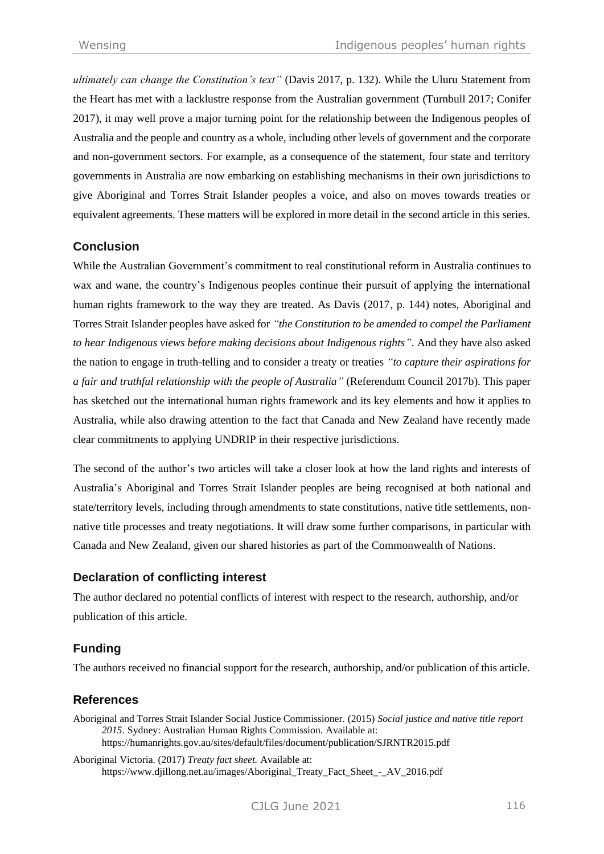*ultimately can change the Constitution's text"* (Davis 2017, p. 132). While the Uluru Statement from the Heart has met with a lacklustre response from the Australian government (Turnbull 2017; Conifer 2017), it may well prove a major turning point for the relationship between the Indigenous peoples of Australia and the people and country as a whole, including other levels of government and the corporate and non-government sectors. For example, as a consequence of the statement, four state and territory governments in Australia are now embarking on establishing mechanisms in their own jurisdictions to give Aboriginal and Torres Strait Islander peoples a voice, and also on moves towards treaties or equivalent agreements. These matters will be explored in more detail in the second article in this series.

# **Conclusion**

While the Australian Government's commitment to real constitutional reform in Australia continues to wax and wane, the country's Indigenous peoples continue their pursuit of applying the international human rights framework to the way they are treated. As Davis (2017, p. 144) notes, Aboriginal and Torres Strait Islander peoples have asked for *"the Constitution to be amended to compel the Parliament to hear Indigenous views before making decisions about Indigenous rights"*. And they have also asked the nation to engage in truth-telling and to consider a treaty or treaties *"to capture their aspirations for a fair and truthful relationship with the people of Australia"* (Referendum Council 2017b). This paper has sketched out the international human rights framework and its key elements and how it applies to Australia, while also drawing attention to the fact that Canada and New Zealand have recently made clear commitments to applying UNDRIP in their respective jurisdictions.

The second of the author's two articles will take a closer look at how the land rights and interests of Australia's Aboriginal and Torres Strait Islander peoples are being recognised at both national and state/territory levels, including through amendments to state constitutions, native title settlements, nonnative title processes and treaty negotiations. It will draw some further comparisons, in particular with Canada and New Zealand, given our shared histories as part of the Commonwealth of Nations.

# **Declaration of conflicting interest**

The author declared no potential conflicts of interest with respect to the research, authorship, and/or publication of this article.

# **Funding**

The authors received no financial support for the research, authorship, and/or publication of this article.

# **References**

Aboriginal and Torres Strait Islander Social Justice Commissioner. (2015) *Social justice and native title report 2015*. Sydney: Australian Human Rights Commission. Available at: <https://humanrights.gov.au/sites/default/files/document/publication/SJRNTR2015.pdf>

Aboriginal Victoria. (2017) *Treaty fact sheet.* Available at: [https://www.djillong.net.au/images/Aboriginal\\_Treaty\\_Fact\\_Sheet\\_-\\_AV\\_2016.pdf](https://www.djillong.net.au/images/Aboriginal_Treaty_Fact_Sheet_-_AV_2016.pdf)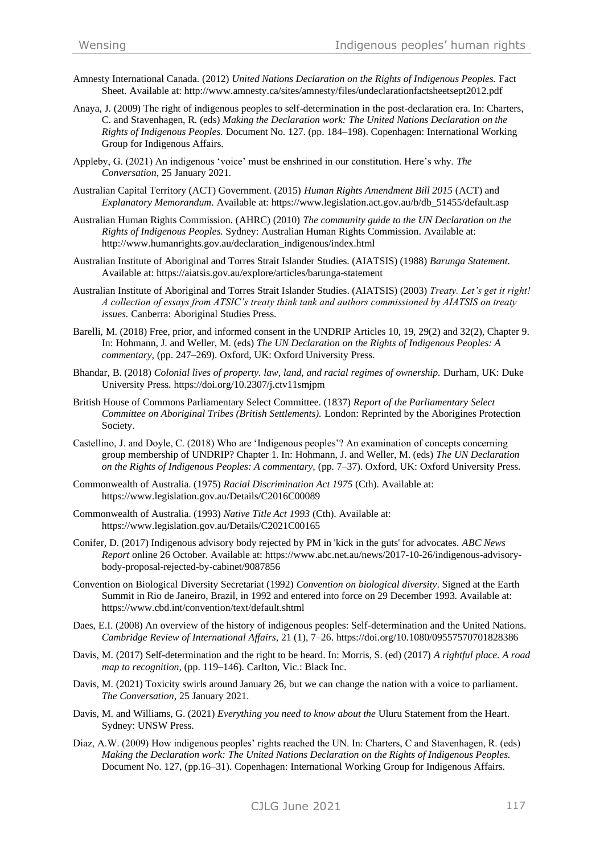- Amnesty International Canada. (2012) *United Nations Declaration on the Rights of Indigenous Peoples*. Fact Sheet. Available at[: http://www.amnesty.ca/sites/amnesty/files/undeclarationfactsheetsept2012.pdf](http://www.amnesty.ca/sites/amnesty/files/undeclarationfactsheetsept2012.pdf)
- Anaya, J. (2009) The right of indigenous peoples to self-determination in the post-declaration era. In: Charters, C. and Stavenhagen, R. (eds) *Making the Declaration work: The United Nations Declaration on the Rights of Indigenous Peoples.* Document No. 127. (pp. 184–198). Copenhagen: International Working Group for Indigenous Affairs.
- Appleby, G. (2021) An indigenous 'voice' must be enshrined in our constitution. Here's why. *The Conversation*, 25 January 2021.
- Australian Capital Territory (ACT) Government. (2015) *Human Rights Amendment Bill 2015* (ACT) and *Explanatory Memorandum*. Available at: [https://www.legislation.act.gov.au/b/db\\_51455/default.asp](https://www.legislation.act.gov.au/b/db_51455/default.asp)
- Australian Human Rights Commission. (AHRC) (2010) *The community guide to the UN Declaration on the Rights of Indigenous Peoples.* Sydney: Australian Human Rights Commission. Available at: [http://www.humanrights.gov.au/declaration\\_indigenous/index.html](http://www.humanrights.gov.au/declaration_indigenous/index.html)
- Australian Institute of Aboriginal and Torres Strait Islander Studies. (AIATSIS) (1988) *Barunga Statement.*  Available at:<https://aiatsis.gov.au/explore/articles/barunga-statement>
- Australian Institute of Aboriginal and Torres Strait Islander Studies. (AIATSIS) (2003) *Treaty. Let's get it right! A collection of essays from ATSIC's treaty think tank and authors commissioned by AIATSIS on treaty issues.* Canberra: Aboriginal Studies Press.
- Barelli, M. (2018) Free, prior, and informed consent in the UNDRIP Articles 10, 19, 29(2) and 32(2), Chapter 9. In: Hohmann, J. and Weller, M. (eds) *The UN Declaration on the Rights of Indigenous Peoples: A commentary,* (pp. 247–269). Oxford, UK: Oxford University Press.
- Bhandar, B. (2018) *Colonial lives of property. law, land, and racial regimes of ownership.* Durham, UK: Duke University Press.<https://doi.org/10.2307/j.ctv11smjpm>
- British House of Commons Parliamentary Select Committee. (1837) *Report of the Parliamentary Select Committee on Aboriginal Tribes (British Settlements).* London: Reprinted by the Aborigines Protection Society.
- Castellino, J. and Doyle, C. (2018) Who are 'Indigenous peoples'? An examination of concepts concerning group membership of UNDRIP? Chapter 1. In: Hohmann, J. and Weller, M. (eds) *The UN Declaration on the Rights of Indigenous Peoples: A commentary,* (pp. 7–37). Oxford, UK: Oxford University Press.
- Commonwealth of Australia. (1975) *Racial Discrimination Act 1975* (Cth). Available at: <https://www.legislation.gov.au/Details/C2016C00089>
- Commonwealth of Australia. (1993) *Native Title Act 1993* (Cth). Available at: <https://www.legislation.gov.au/Details/C2021C00165>
- Conifer, D. (2017) Indigenous advisory body rejected by PM in 'kick in the guts' for advocates. *ABC News Report* online 26 October. Available at: [https://www.abc.net.au/news/2017-10-26/indigenous-advisory](https://www.abc.net.au/news/2017-10-26/indigenous-advisory-body-proposal-rejected-by-cabinet/9087856)[body-proposal-rejected-by-cabinet/9087856](https://www.abc.net.au/news/2017-10-26/indigenous-advisory-body-proposal-rejected-by-cabinet/9087856)
- Convention on Biological Diversity Secretariat (1992) *Convention on biological diversity*. Signed at the Earth Summit in Rio de Janeiro, Brazil, in 1992 and entered into force on 29 December 1993. Available at: <https://www.cbd.int/convention/text/default.shtml>
- Daes, E.I. (2008) An overview of the history of indigenous peoples: Self-determination and the United Nations. *Cambridge Review of International Affairs*, 21 (1), 7–26.<https://doi.org/10.1080/09557570701828386>
- Davis, M. (2017) Self-determination and the right to be heard. In: Morris, S. (ed) (2017) *A rightful place. A road map to recognition,* (pp. 119–146). Carlton, Vic.: Black Inc.
- Davis, M. (2021) Toxicity swirls around January 26, but we can change the nation with a voice to parliament. *The Conversation*, 25 January 2021.
- Davis, M. and Williams, G. (2021) *Everything you need to know about the* Uluru Statement from the Heart. Sydney: UNSW Press.
- Diaz, A.W. (2009) How indigenous peoples' rights reached the UN. In: Charters, C and Stavenhagen, R. (eds) *Making the Declaration work: The United Nations Declaration on the Rights of Indigenous Peoples.* Document No. 127, (pp.16–31). Copenhagen: International Working Group for Indigenous Affairs.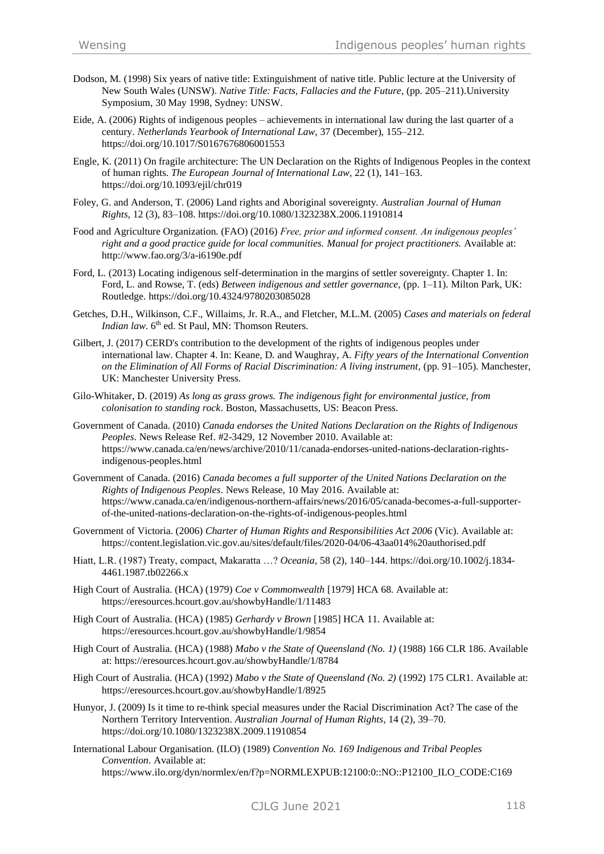- Dodson, M. (1998) Six years of native title: Extinguishment of native title. Public lecture at the University of New South Wales (UNSW). *Native Title: Facts, Fallacies and the Future*, (pp. 205–211).University Symposium, 30 May 1998, Sydney: UNSW.
- Eide, A. (2006) Rights of indigenous peoples achievements in international law during the last quarter of a century. *Netherlands Yearbook of International Law*, 37 (December), 155–212. <https://doi.org/10.1017/S0167676806001553>
- Engle, K. (2011) On fragile architecture: The UN Declaration on the Rights of Indigenous Peoples in the context of human rights. *The European Journal of International Law*, 22 (1), 141–163. <https://doi.org/10.1093/ejil/chr019>
- Foley, G. and Anderson, T. (2006) Land rights and Aboriginal sovereignty. *Australian Journal of Human Rights*, 12 (3), 83–108.<https://doi.org/10.1080/1323238X.2006.11910814>
- Food and Agriculture Organization. (FAO) (2016) *Free, prior and informed consent. An indigenous peoples' right and a good practice guide for local communities. Manual for project practitioners.* Available at: <http://www.fao.org/3/a-i6190e.pdf>
- Ford, L. (2013) Locating indigenous self-determination in the margins of settler sovereignty. Chapter 1. In: Ford, L. and Rowse, T. (eds) *Between indigenous and settler governance*, (pp. 1–11). Milton Park, UK: Routledge.<https://doi.org/10.4324/9780203085028>
- Getches, D.H., Wilkinson, C.F., Willaims, Jr. R.A., and Fletcher, M.L.M. (2005) *Cases and materials on federal Indian law.* 6<sup>th</sup> ed. St Paul, MN: Thomson Reuters.
- Gilbert, J. (2017) CERD's contribution to the development of the rights of indigenous peoples under international law. Chapter 4. In: Keane, D. and Waughray, A. *Fifty years of the International Convention on the Elimination of All Forms of Racial Discrimination: A living instrument*, (pp. 91–105). Manchester, UK: Manchester University Press.
- Gilo-Whitaker, D. (2019) *As long as grass grows. The indigenous fight for environmental justice, from colonisation to standing rock*. Boston, Massachusetts, US: Beacon Press.
- Government of Canada. (2010) *Canada endorses the United Nations Declaration on the Rights of Indigenous Peoples*. News Release Ref. #2-3429, 12 November 2010. Available at: [https://www.canada.ca/en/news/archive/2010/11/canada-endorses-united-nations-declaration-rights](https://www.canada.ca/en/news/archive/2010/11/canada-endorses-united-nations-declaration-rights-indigenous-peoples.html)[indigenous-peoples.html](https://www.canada.ca/en/news/archive/2010/11/canada-endorses-united-nations-declaration-rights-indigenous-peoples.html)
- Government of Canada. (2016) *Canada becomes a full supporter of the United Nations Declaration on the Rights of Indigenous Peoples*. News Release, 10 May 2016. Available at: [https://www.canada.ca/en/indigenous-northern-affairs/news/2016/05/canada-becomes-a-full-supporter](https://www.canada.ca/en/indigenous-northern-affairs/news/2016/05/canada-becomes-a-full-supporter-of-the-united-nations-declaration-on-the-rights-of-indigenous-peoples.html)[of-the-united-nations-declaration-on-the-rights-of-indigenous-peoples.html](https://www.canada.ca/en/indigenous-northern-affairs/news/2016/05/canada-becomes-a-full-supporter-of-the-united-nations-declaration-on-the-rights-of-indigenous-peoples.html)
- Government of Victoria. (2006) *Charter of Human Rights and Responsibilities Act 2006* (Vic). Available at: <https://content.legislation.vic.gov.au/sites/default/files/2020-04/06-43aa014%20authorised.pdf>
- Hiatt, L.R. (1987) Treaty, compact, Makaratta …? *Oceania*, 58 (2), 140–144[. https://doi.org/10.1002/j.1834-](https://doi.org/10.1002/j.1834-4461.1987.tb02266.x) [4461.1987.tb02266.x](https://doi.org/10.1002/j.1834-4461.1987.tb02266.x)
- High Court of Australia. (HCA) (1979) *Coe v Commonwealth* [1979] HCA 68. Available at: <https://eresources.hcourt.gov.au/showbyHandle/1/11483>
- High Court of Australia. (HCA) (1985) *Gerhardy v Brown* [1985] HCA 11. Available at: <https://eresources.hcourt.gov.au/showbyHandle/1/9854>
- High Court of Australia. (HCA) (1988) *Mabo v the State of Queensland (No. 1)* (1988) 166 CLR 186. Available at:<https://eresources.hcourt.gov.au/showbyHandle/1/8784>
- High Court of Australia. (HCA) (1992) *Mabo v the State of Queensland (No. 2)* (1992) 175 CLR1. Available at: <https://eresources.hcourt.gov.au/showbyHandle/1/8925>
- Hunyor, J. (2009) Is it time to re-think special measures under the Racial Discrimination Act? The case of the Northern Territory Intervention. *Australian Journal of Human Rights*, 14 (2), 39–70. <https://doi.org/10.1080/1323238X.2009.11910854>
- International Labour Organisation. (ILO) (1989) *Convention No. 169 Indigenous and Tribal Peoples Convention*. Available at: [https://www.ilo.org/dyn/normlex/en/f?p=NORMLEXPUB:12100:0::NO::P12100\\_ILO\\_CODE:C169](https://www.ilo.org/dyn/normlex/en/f?p=NORMLEXPUB:12100:0::NO::P12100_ILO_CODE:C169)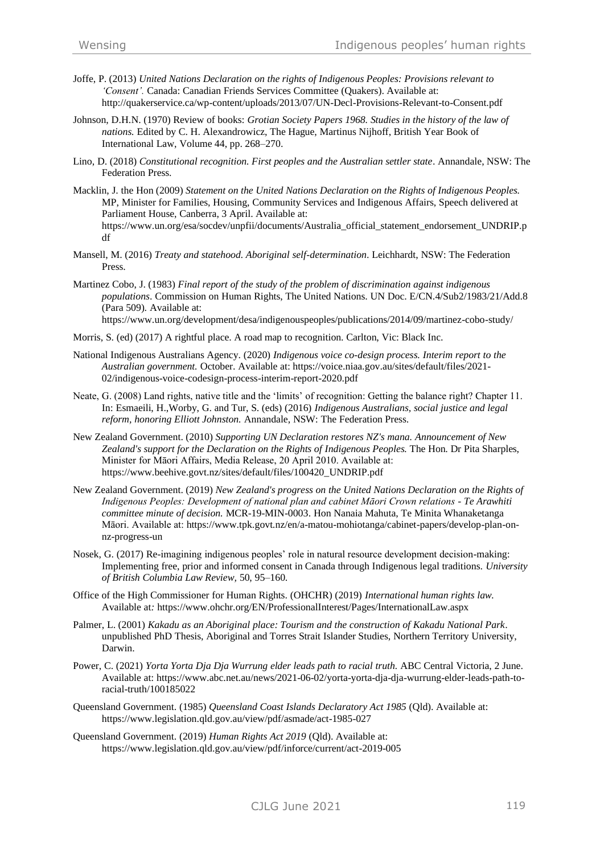- Joffe, P. (2013) *United Nations Declaration on the rights of Indigenous Peoples: Provisions relevant to 'Consent'.* Canada: Canadian Friends Services Committee (Quakers). Available at: <http://quakerservice.ca/wp-content/uploads/2013/07/UN-Decl-Provisions-Relevant-to-Consent.pdf>
- Johnson, D.H.N. (1970) Review of books: *Grotian Society Papers 1968. Studies in the history of the law of nations.* Edited by C. H. Alexandrowicz, The Hague, Martinus Nijhoff, British Year Book of International Law, Volume 44, pp. 268–270.
- Lino, D. (2018) *Constitutional recognition. First peoples and the Australian settler state*. Annandale, NSW: The Federation Press.
- Macklin, J. the Hon (2009) *Statement on the United Nations Declaration on the Rights of Indigenous Peoples.* MP, Minister for Families, Housing, Community Services and Indigenous Affairs, Speech delivered at Parliament House, Canberra, 3 April. Available at: [https://www.un.org/esa/socdev/unpfii/documents/Australia\\_official\\_statement\\_endorsement\\_UNDRIP.p](https://www.un.org/esa/socdev/unpfii/documents/Australia_official_statement_endorsement_UNDRIP.pdf) [df](https://www.un.org/esa/socdev/unpfii/documents/Australia_official_statement_endorsement_UNDRIP.pdf)
- Mansell, M. (2016) *Treaty and statehood. Aboriginal self-determination*. Leichhardt, NSW: The Federation Press.
- Martinez Cobo, J. (1983) *Final report of the study of the problem of discrimination against indigenous populations*. Commission on Human Rights, The United Nations. UN Doc. E/CN.4/Sub2/1983/21/Add.8 (Para 509). Available at:

<https://www.un.org/development/desa/indigenouspeoples/publications/2014/09/martinez-cobo-study/>

- Morris, S. (ed) (2017) A rightful place. A road map to recognition. Carlton, Vic: Black Inc.
- National Indigenous Australians Agency. (2020) *Indigenous voice co-design process. Interim report to the Australian government.* October. Available at[: https://voice.niaa.gov.au/sites/default/files/2021-](https://voice.niaa.gov.au/sites/default/files/2021-02/indigenous-voice-codesign-process-interim-report-2020.pdf) [02/indigenous-voice-codesign-process-interim-report-2020.pdf](https://voice.niaa.gov.au/sites/default/files/2021-02/indigenous-voice-codesign-process-interim-report-2020.pdf)
- Neate, G. (2008) Land rights, native title and the 'limits' of recognition: Getting the balance right? Chapter 11. In: Esmaeili, H.,Worby, G. and Tur, S. (eds) (2016) *Indigenous Australians, social justice and legal reform, honoring Elliott Johnston.* Annandale, NSW: The Federation Press.
- New Zealand Government. (2010) *Supporting UN Declaration restores NZ's mana. Announcement of New Zealand's support for the Declaration on the Rights of Indigenous Peoples.* The Hon. Dr Pita Sharples, Minister for Māori Affairs, Media Release, 20 April 2010. Available at: [https://www.beehive.govt.nz/sites/default/files/100420\\_UNDRIP.pdf](https://www.beehive.govt.nz/sites/default/files/100420_UNDRIP.pdf)
- New Zealand Government. (2019) *New Zealand's progress on the United Nations Declaration on the Rights of Indigenous Peoples: Development of national plan and cabinet Māori Crown relations - Te Arawhiti committee minute of decision.* MCR-19-MIN-0003. Hon Nanaia Mahuta, Te Minita Whanaketanga Māori. Available at[: https://www.tpk.govt.nz/en/a-matou-mohiotanga/cabinet-papers/develop-plan-on](https://www.tpk.govt.nz/en/a-matou-mohiotanga/cabinet-papers/develop-plan-on-nz-progress-un)[nz-progress-un](https://www.tpk.govt.nz/en/a-matou-mohiotanga/cabinet-papers/develop-plan-on-nz-progress-un)
- Nosek, G. (2017) Re-imagining indigenous peoples' role in natural resource development decision-making: Implementing free, prior and informed consent in Canada through Indigenous legal traditions. *University of British Columbia Law Review,* 50, 95–160.
- Office of the High Commissioner for Human Rights. (OHCHR) (2019) *International human rights law.*  Available at*:* <https://www.ohchr.org/EN/ProfessionalInterest/Pages/InternationalLaw.aspx>
- Palmer, L. (2001) *Kakadu as an Aboriginal place: Tourism and the construction of Kakadu National Park*. unpublished PhD Thesis, Aboriginal and Torres Strait Islander Studies, Northern Territory University, Darwin.
- Power, C. (2021) *Yorta Yorta Dja Dja Wurrung elder leads path to racial truth.* ABC Central Victoria, 2 June. Available at: [https://www.abc.net.au/news/2021-06-02/yorta-yorta-dja-dja-wurrung-elder-leads-path-to](https://www.abc.net.au/news/2021-06-02/yorta-yorta-dja-dja-wurrung-elder-leads-path-to-racial-truth/100185022)[racial-truth/100185022](https://www.abc.net.au/news/2021-06-02/yorta-yorta-dja-dja-wurrung-elder-leads-path-to-racial-truth/100185022)
- Queensland Government. (1985) *Queensland Coast Islands Declaratory Act 1985* (Qld). Available at: <https://www.legislation.qld.gov.au/view/pdf/asmade/act-1985-027>
- Queensland Government. (2019) *Human Rights Act 2019* (Qld). Available at: <https://www.legislation.qld.gov.au/view/pdf/inforce/current/act-2019-005>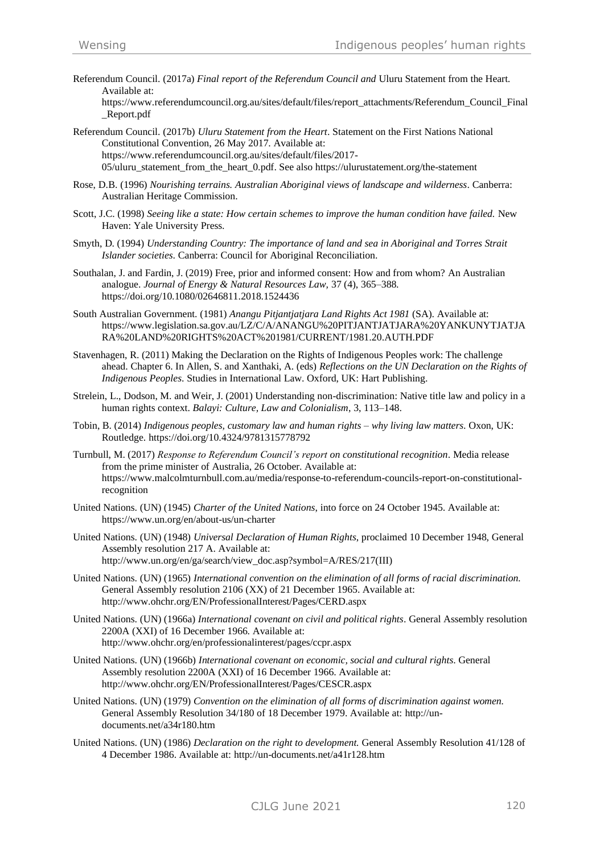Referendum Council. (2017a) *Final report of the Referendum Council and* Uluru Statement from the Heart*.*  Available at:

[https://www.referendumcouncil.org.au/sites/default/files/report\\_attachments/Referendum\\_Council\\_Final](https://www.referendumcouncil.org.au/sites/default/files/report_attachments/Referendum_Council_Final_Report.pdf) [\\_Report.pdf](https://www.referendumcouncil.org.au/sites/default/files/report_attachments/Referendum_Council_Final_Report.pdf)

- Referendum Council. (2017b) *Uluru Statement from the Heart*. Statement on the First Nations National Constitutional Convention, 26 May 2017. Available at: [https://www.referendumcouncil.org.au/sites/default/files/2017](https://www.referendumcouncil.org.au/sites/default/files/2017-05/uluru_statement_from_the_heart_0.pdf) 05/uluru statement from the heart 0.pdf. See als[o https://ulurustatement.org/the-statement](https://ulurustatement.org/the-statement)
- Rose, D.B. (1996) *Nourishing terrains. Australian Aboriginal views of landscape and wilderness*. Canberra: Australian Heritage Commission.
- Scott, J.C. (1998) *Seeing like a state: How certain schemes to improve the human condition have failed.* New Haven: Yale University Press.
- Smyth, D. (1994) *Understanding Country: The importance of land and sea in Aboriginal and Torres Strait Islander societies*. Canberra: Council for Aboriginal Reconciliation.
- Southalan, J. and Fardin, J. (2019) Free, prior and informed consent: How and from whom? An Australian analogue. *Journal of Energy & Natural Resources Law,* 37 (4), 365–388. <https://doi.org/10.1080/02646811.2018.1524436>
- South Australian Government. (1981) *Anangu Pitjantjatjara Land Rights Act 1981* (SA). Available at: [https://www.legislation.sa.gov.au/LZ/C/A/ANANGU%20PITJANTJATJARA%20YANKUNYTJATJA](https://www.legislation.sa.gov.au/LZ/C/A/ANANGU%20PITJANTJATJARA%20YANKUNYTJATJARA%20LAND%20RIGHTS%20ACT%201981/CURRENT/1981.20.AUTH.PDF) [RA%20LAND%20RIGHTS%20ACT%201981/CURRENT/1981.20.AUTH.PDF](https://www.legislation.sa.gov.au/LZ/C/A/ANANGU%20PITJANTJATJARA%20YANKUNYTJATJARA%20LAND%20RIGHTS%20ACT%201981/CURRENT/1981.20.AUTH.PDF)
- Stavenhagen, R. (2011) Making the Declaration on the Rights of Indigenous Peoples work: The challenge ahead. Chapter 6. In Allen, S. and Xanthaki, A. (eds) *Reflections on the UN Declaration on the Rights of Indigenous Peoples*. Studies in International Law. Oxford, UK: Hart Publishing.
- Strelein, L., Dodson, M. and Weir, J. (2001) Understanding non-discrimination: Native title law and policy in a human rights context. *Balayi: Culture, Law and Colonialism*, 3, 113–148.
- Tobin, B. (2014) *Indigenous peoples, customary law and human rights – why living law matters*. Oxon, UK: Routledge.<https://doi.org/10.4324/9781315778792>
- Turnbull, M. (2017) *Response to Referendum Council's report on constitutional recognition*. Media release from the prime minister of Australia, 26 October. Available at: [https://www.malcolmturnbull.com.au/media/response-to-referendum-councils-report-on-constitutional](https://www.malcolmturnbull.com.au/media/response-to-referendum-councils-report-on-constitutional-recognition)[recognition](https://www.malcolmturnbull.com.au/media/response-to-referendum-councils-report-on-constitutional-recognition)
- United Nations. (UN) (1945) *Charter of the United Nations*, into force on 24 October 1945. Available at: <https://www.un.org/en/about-us/un-charter>
- United Nations. (UN) (1948) *Universal Declaration of Human Rights*, proclaimed 10 December 1948, General Assembly resolution 217 A. Available at: [http://www.un.org/en/ga/search/view\\_doc.asp?symbol=A/RES/217\(III\)](http://www.un.org/en/ga/search/view_doc.asp?symbol=A/RES/217(III))
- United Nations. (UN) (1965) *International convention on the elimination of all forms of racial discrimination.* General Assembly resolution 2106 (XX) of 21 December 1965. Available at: <http://www.ohchr.org/EN/ProfessionalInterest/Pages/CERD.aspx>
- United Nations. (UN) (1966a) *International covenant on civil and political rights*. General Assembly resolution 2200A (XXI) of 16 December 1966. Available at: <http://www.ohchr.org/en/professionalinterest/pages/ccpr.aspx>
- United Nations. (UN) (1966b) *International covenant on economic, social and cultural rights*. General Assembly resolution 2200A (XXI) of 16 December 1966. Available at: <http://www.ohchr.org/EN/ProfessionalInterest/Pages/CESCR.aspx>
- United Nations. (UN) (1979) *Convention on the elimination of all forms of discrimination against women.* General Assembly Resolution 34/180 of 18 December 1979. Available at: [http://un](http://un-documents.net/a34r180.htm)[documents.net/a34r180.htm](http://un-documents.net/a34r180.htm)
- United Nations. (UN) (1986) *Declaration on the right to development.* General Assembly Resolution 41/128 of 4 December 1986. Available at:<http://un-documents.net/a41r128.htm>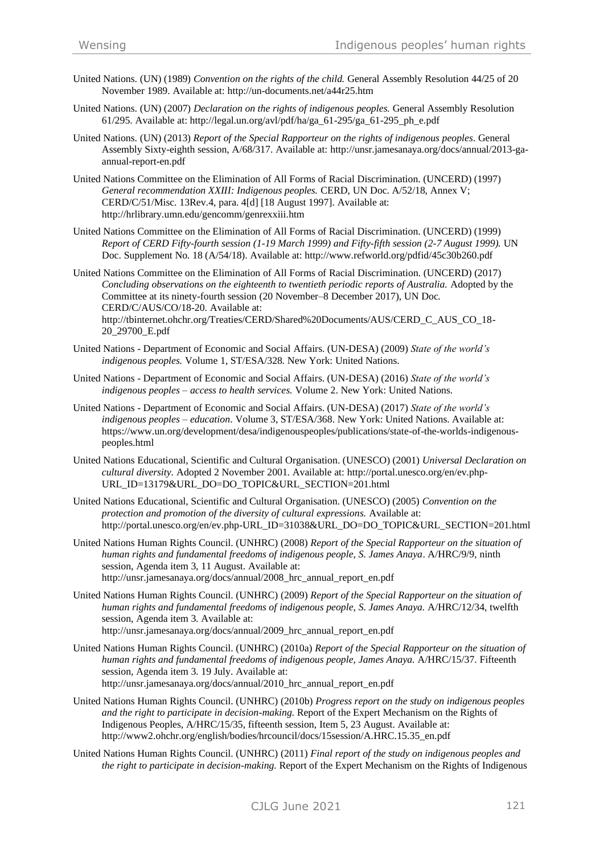- United Nations. (UN) (1989) *Convention on the rights of the child.* General Assembly Resolution 44/25 of 20 November 1989. Available at:<http://un-documents.net/a44r25.htm>
- United Nations. (UN) (2007) *Declaration on the rights of indigenous peoples.* General Assembly Resolution 61/295. Available at: [http://legal.un.org/avl/pdf/ha/ga\\_61-295/ga\\_61-295\\_ph\\_e.pdf](http://legal.un.org/avl/pdf/ha/ga_61-295/ga_61-295_ph_e.pdf)
- United Nations. (UN) (2013) *Report of the Special Rapporteur on the rights of indigenous peoples*. General Assembly Sixty-eighth session, A/68/317. Available at: [http://unsr.jamesanaya.org/docs/annual/2013-ga](http://unsr.jamesanaya.org/docs/annual/2013-ga-annual-report-en.pdf)[annual-report-en.pdf](http://unsr.jamesanaya.org/docs/annual/2013-ga-annual-report-en.pdf)
- United Nations Committee on the Elimination of All Forms of Racial Discrimination. (UNCERD) (1997) *General recommendation XXIII: Indigenous peoples.* CERD, UN Doc. A/52/18, Annex V; CERD/C/51/Misc. 13Rev.4, para. 4[d] [18 August 1997]. Available at: <http://hrlibrary.umn.edu/gencomm/genrexxiii.htm>
- United Nations Committee on the Elimination of All Forms of Racial Discrimination. (UNCERD) (1999) *Report of CERD Fifty-fourth session (1-19 March 1999) and Fifty-fifth session (2-7 August 1999).* UN Doc. Supplement No. 18 (A/54/18). Available at:<http://www.refworld.org/pdfid/45c30b260.pdf>

United Nations Committee on the Elimination of All Forms of Racial Discrimination. (UNCERD) (2017) *Concluding observations on the eighteenth to twentieth periodic reports of Australia.* Adopted by the Committee at its ninety-fourth session (20 November–8 December 2017), UN Doc. CERD/C/AUS/CO/18-20. Available at: [http://tbinternet.ohchr.org/Treaties/CERD/Shared%20Documents/AUS/CERD\\_C\\_AUS\\_CO\\_18-](http://tbinternet.ohchr.org/Treaties/CERD/Shared%20Documents/AUS/CERD_C_AUS_CO_18-20_29700_E.pdf)

[20\\_29700\\_E.pdf](http://tbinternet.ohchr.org/Treaties/CERD/Shared%20Documents/AUS/CERD_C_AUS_CO_18-20_29700_E.pdf)

- United Nations Department of Economic and Social Affairs. (UN-DESA) (2009) *State of the world's indigenous peoples.* Volume 1, ST/ESA/328. New York: United Nations.
- United Nations Department of Economic and Social Affairs. (UN-DESA) (2016) *State of the world's indigenous peoples – access to health services.* Volume 2. New York: United Nations.
- United Nations Department of Economic and Social Affairs. (UN-DESA) (2017) *State of the world's indigenous peoples – education*. Volume 3, ST/ESA/368. New York: United Nations. Available at: [https://www.un.org/development/desa/indigenouspeoples/publications/state-of-the-worlds-indigenous](https://www.un.org/development/desa/indigenouspeoples/publications/state-of-the-worlds-indigenous-peoples.html)[peoples.html](https://www.un.org/development/desa/indigenouspeoples/publications/state-of-the-worlds-indigenous-peoples.html)
- United Nations Educational, Scientific and Cultural Organisation. (UNESCO) (2001) *Universal Declaration on cultural diversity.* Adopted 2 November 2001. Available at: [http://portal.unesco.org/en/ev.php-](http://portal.unesco.org/en/ev.php-URL_ID=13179&URL_DO=DO_TOPIC&URL_SECTION=201.html)[URL\\_ID=13179&URL\\_DO=DO\\_TOPIC&URL\\_SECTION=201.html](http://portal.unesco.org/en/ev.php-URL_ID=13179&URL_DO=DO_TOPIC&URL_SECTION=201.html)
- United Nations Educational, Scientific and Cultural Organisation. (UNESCO) (2005) *Convention on the protection and promotion of the diversity of cultural expressions.* Available at: [http://portal.unesco.org/en/ev.php-URL\\_ID=31038&URL\\_DO=DO\\_TOPIC&URL\\_SECTION=201.html](http://portal.unesco.org/en/ev.php-URL_ID=31038&URL_DO=DO_TOPIC&URL_SECTION=201.html)
- United Nations Human Rights Council. (UNHRC) (2008) *Report of the Special Rapporteur on the situation of human rights and fundamental freedoms of indigenous people, S. James Anaya*. A/HRC/9/9, ninth session, Agenda item 3, 11 August. Available at: [http://unsr.jamesanaya.org/docs/annual/2008\\_hrc\\_annual\\_report\\_en.pdf](http://unsr.jamesanaya.org/docs/annual/2008_hrc_annual_report_en.pdf)
- United Nations Human Rights Council. (UNHRC) (2009) *Report of the Special Rapporteur on the situation of human rights and fundamental freedoms of indigenous people, S. James Anaya.* A/HRC/12/34, twelfth session, Agenda item 3. Available at: [http://unsr.jamesanaya.org/docs/annual/2009\\_hrc\\_annual\\_report\\_en.pdf](http://unsr.jamesanaya.org/docs/annual/2009_hrc_annual_report_en.pdf)
- United Nations Human Rights Council. (UNHRC) (2010a) *Report of the Special Rapporteur on the situation of human rights and fundamental freedoms of indigenous people, James Anaya.* A/HRC/15/37. Fifteenth session, Agenda item 3. 19 July. Available at: [http://unsr.jamesanaya.org/docs/annual/2010\\_hrc\\_annual\\_report\\_en.pdf](http://unsr.jamesanaya.org/docs/annual/2010_hrc_annual_report_en.pdf)
- United Nations Human Rights Council. (UNHRC) (2010b) *Progress report on the study on indigenous peoples and the right to participate in decision-making*. Report of the Expert Mechanism on the Rights of Indigenous Peoples, A/HRC/15/35, fifteenth session, Item 5, 23 August. Available at: [http://www2.ohchr.org/english/bodies/hrcouncil/docs/15session/A.HRC.15.35\\_en.pdf](http://www2.ohchr.org/english/bodies/hrcouncil/docs/15session/A.HRC.15.35_en.pdf)
- United Nations Human Rights Council. (UNHRC) (2011) *Final report of the study on indigenous peoples and the right to participate in decision-making.* Report of the Expert Mechanism on the Rights of Indigenous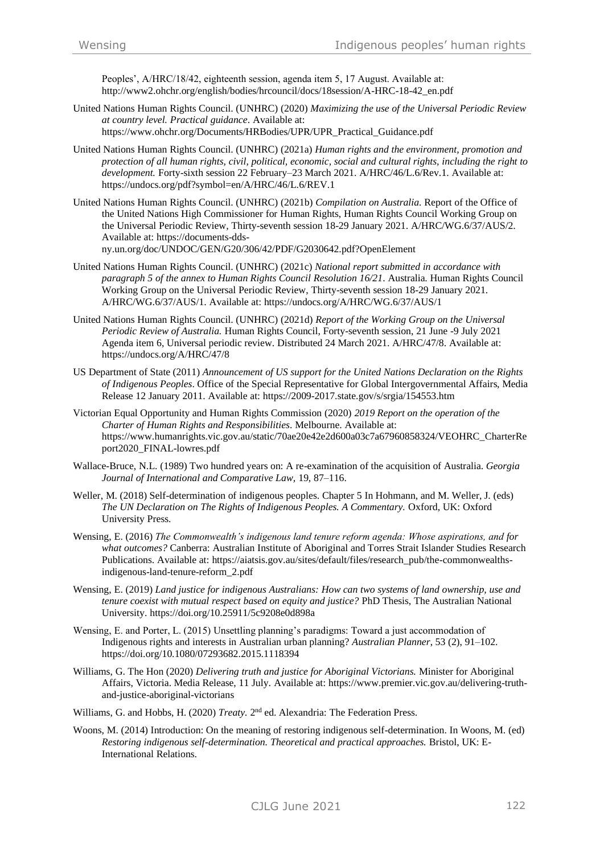Peoples', A/HRC/18/42, eighteenth session, agenda item 5, 17 August. Available at: [http://www2.ohchr.org/english/bodies/hrcouncil/docs/18session/A-HRC-18-42\\_en.pdf](http://www2.ohchr.org/english/bodies/hrcouncil/docs/18session/A-HRC-18-42_en.pdf)

- United Nations Human Rights Council. (UNHRC) (2020) *Maximizing the use of the Universal Periodic Review at country level. Practical guidance*. Available at: [https://www.ohchr.org/Documents/HRBodies/UPR/UPR\\_Practical\\_Guidance.pdf](https://www.ohchr.org/Documents/HRBodies/UPR/UPR_Practical_Guidance.pdf)
- United Nations Human Rights Council. (UNHRC) (2021a) *Human rights and the environment, promotion and protection of all human rights, civil, political, economic, social and cultural rights, including the right to development.* Forty-sixth session 22 February–23 March 2021. A/HRC/46/L.6/Rev.1. Available at: <https://undocs.org/pdf?symbol=en/A/HRC/46/L.6/REV.1>
- United Nations Human Rights Council. (UNHRC) (2021b) *Compilation on Australia.* Report of the Office of the United Nations High Commissioner for Human Rights, Human Rights Council Working Group on the Universal Periodic Review, Thirty-seventh session 18-29 January 2021. A/HRC/WG.6/37/AUS/2. Available at: [https://documents-dds](https://documents-dds-ny.un.org/doc/UNDOC/GEN/G20/306/42/PDF/G2030642.pdf?OpenElement)[ny.un.org/doc/UNDOC/GEN/G20/306/42/PDF/G2030642.pdf?OpenElement](https://documents-dds-ny.un.org/doc/UNDOC/GEN/G20/306/42/PDF/G2030642.pdf?OpenElement)

- United Nations Human Rights Council. (UNHRC) (2021c) *National report submitted in accordance with paragraph 5 of the annex to Human Rights Council Resolution 16/21*. Australia. Human Rights Council Working Group on the Universal Periodic Review, Thirty-seventh session 18-29 January 2021. A/HRC/WG.6/37/AUS/1. Available at:<https://undocs.org/A/HRC/WG.6/37/AUS/1>
- United Nations Human Rights Council. (UNHRC) (2021d) *Report of the Working Group on the Universal Periodic Review of Australia.* Human Rights Council, Forty-seventh session, 21 June -9 July 2021 Agenda item 6, Universal periodic review. Distributed 24 March 2021. A/HRC/47/8. Available at: <https://undocs.org/A/HRC/47/8>
- US Department of State (2011) *Announcement of US support for the United Nations Declaration on the Rights of Indigenous Peoples*. Office of the Special Representative for Global Intergovernmental Affairs, Media Release 12 January 2011. Available at:<https://2009-2017.state.gov/s/srgia/154553.htm>
- Victorian Equal Opportunity and Human Rights Commission (2020) *2019 Report on the operation of the Charter of Human Rights and Responsibilities*. Melbourne. Available at: [https://www.humanrights.vic.gov.au/static/70ae20e42e2d600a03c7a67960858324/VEOHRC\\_CharterRe](https://www.humanrights.vic.gov.au/static/70ae20e42e2d600a03c7a67960858324/VEOHRC_CharterReport2020_FINAL-lowres.pdf) [port2020\\_FINAL-lowres.pdf](https://www.humanrights.vic.gov.au/static/70ae20e42e2d600a03c7a67960858324/VEOHRC_CharterReport2020_FINAL-lowres.pdf)
- Wallace-Bruce, N.L. (1989) Two hundred years on: A re-examination of the acquisition of Australia. *Georgia Journal of International and Comparative Law,* 19, 87–116.
- Weller, M. (2018) Self-determination of indigenous peoples. Chapter 5 In Hohmann, and M. Weller, J. (eds) *The UN Declaration on The Rights of Indigenous Peoples. A Commentary.* Oxford, UK: Oxford University Press.
- Wensing, E. (2016) *The Commonwealth's indigenous land tenure reform agenda: Whose aspirations, and for what outcomes?* Canberra: Australian Institute of Aboriginal and Torres Strait Islander Studies Research Publications. Available at[: https://aiatsis.gov.au/sites/default/files/research\\_pub/the-commonwealths](https://aiatsis.gov.au/sites/default/files/research_pub/the-commonwealths-indigenous-land-tenure-reform_2.pdf)[indigenous-land-tenure-reform\\_2.pdf](https://aiatsis.gov.au/sites/default/files/research_pub/the-commonwealths-indigenous-land-tenure-reform_2.pdf)
- Wensing, E. (2019) *Land justice for indigenous Australians: How can two systems of land ownership, use and tenure coexist with mutual respect based on equity and justice?* PhD Thesis, The Australian National University[. https://doi.org/10.25911/5c9208e0d898a](https://doi.org/10.25911/5c9208e0d898a)
- Wensing, E. and Porter, L. (2015) Unsettling planning's paradigms: Toward a just accommodation of Indigenous rights and interests in Australian urban planning? *Australian Planner*, 53 (2), 91–102. <https://doi.org/10.1080/07293682.2015.1118394>
- Williams, G. The Hon (2020) *Delivering truth and justice for Aboriginal Victorians.* Minister for Aboriginal Affairs, Victoria. Media Release, 11 July. Available at[: https://www.premier.vic.gov.au/delivering-truth](https://www.premier.vic.gov.au/delivering-truth-and-justice-aboriginal-victorians)[and-justice-aboriginal-victorians](https://www.premier.vic.gov.au/delivering-truth-and-justice-aboriginal-victorians)
- Williams, G. and Hobbs, H. (2020) *Treaty*. 2<sup>nd</sup> ed. Alexandria: The Federation Press.
- Woons, M. (2014) Introduction: On the meaning of restoring indigenous self-determination. In Woons, M. (ed) *Restoring indigenous self-determination. Theoretical and practical approaches.* Bristol, UK: E-International Relations.